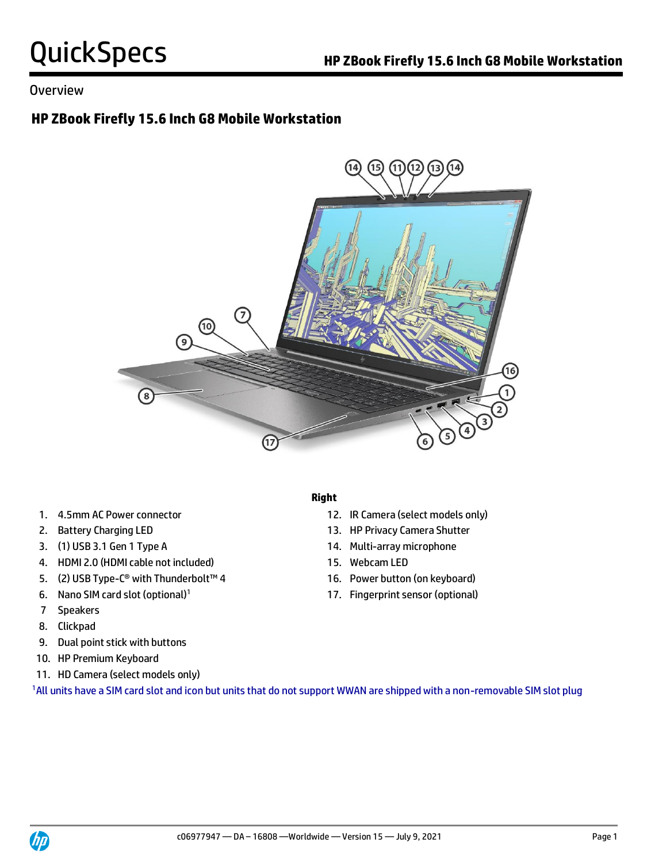# **HP ZBook Firefly 15.6 Inch G8 Mobile Workstation**



- 
- 
- 3. (1) USB 3.1 Gen 1 Type A 14. Multi-array microphone
- 4. HDMI 2.0 (HDMI cable not included) 15. Webcam LED
- 5. (2) USB Type-C® with Thunderbolt™ 4 16. Power button (on keyboard)
- 
- 7 Speakers
- 8. Clickpad
- 9. Dual point stick with buttons
- 10. HP Premium Keyboard
- 11. HD Camera (select models only)

1All units have a SIM card slot and icon but units that do not support WWAN are shipped with a non-removable SIM slot plug

## **Right**

- 1. 4.5mm AC Power connector 12. IR Camera (select models only)
- 2. Battery Charging LED 13. HP Privacy Camera Shutter
	-
	-
	-
- 6. Nano SIM card slot (optional)<sup>1</sup> 17. Fingerprint sensor (optional)

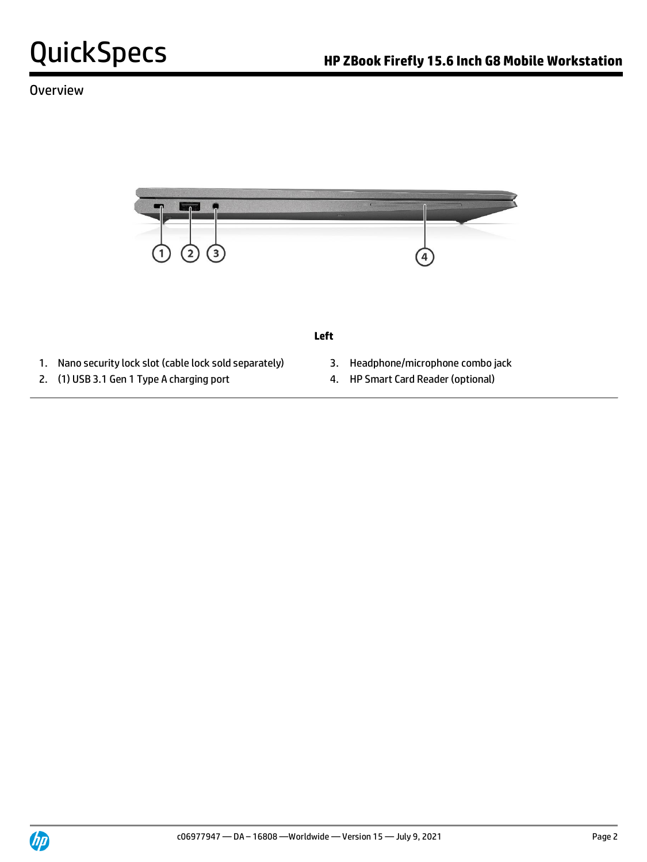

### **Left**

- 1. Nano security lock slot (cable lock sold separately) 3. Headphone/microphone combo jack
- 
- 
- 2. (1) USB 3.1 Gen 1 Type A charging port 4. HP Smart Card Reader (optional)

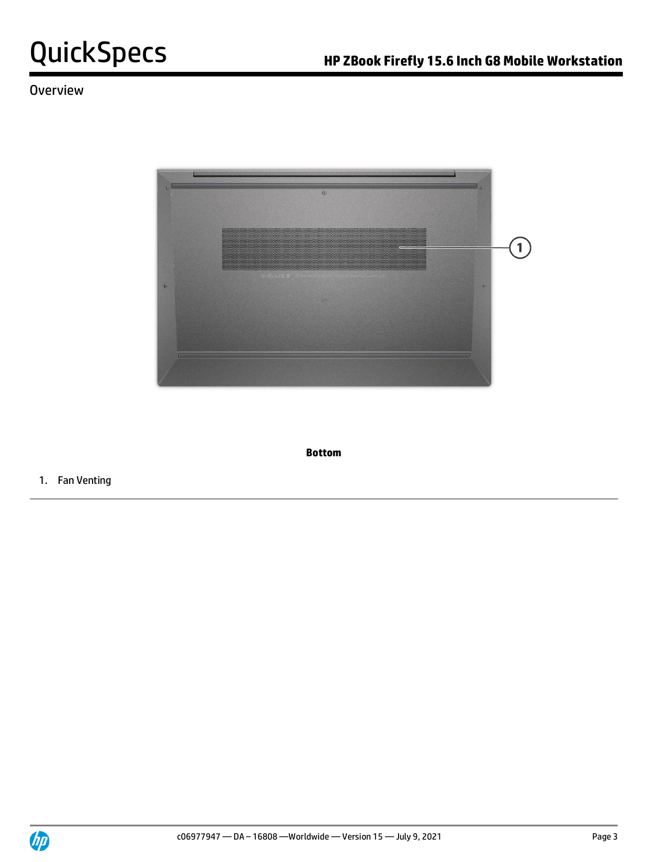

**Bottom**

1. Fan Venting

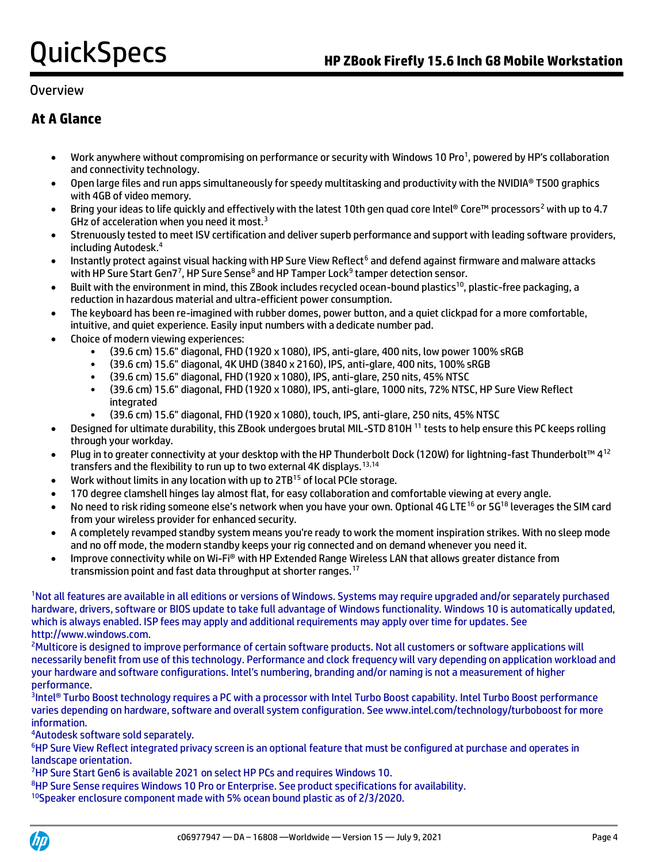# **At A Glance**

- Work anywhere without compromising on performance or security with Windows 10 Pro<sup>1</sup>, powered by HP's collaboration and connectivity technology.
- Open large files and run apps simultaneously for speedy multitasking and productivity with the NVIDIA® T500 graphics with 4GB of video memory.
- Bring your ideas to life quickly and effectively with the latest 10th gen quad core Intel® Core™ processors<sup>2</sup> with up to 4.7 GHz of acceleration when you need it most.<sup>3</sup>
- Strenuously tested to meet ISV certification and deliver superb performance and support with leading software providers, including Autodesk.<sup>4</sup>
- Instantly protect against visual hacking with HP Sure View Reflect<sup>6</sup> and defend against firmware and malware attacks with HP Sure Start Gen7<sup>7</sup>, HP Sure Sense<sup>8</sup> and HP Tamper Lock<sup>9</sup> tamper detection sensor.
- Built with the environment in mind, this ZBook includes recycled ocean-bound plastics<sup>10</sup>, plastic-free packaging, a reduction in hazardous material and ultra-efficient power consumption.
- The keyboard has been re-imagined with rubber domes, power button, and a quiet clickpad for a more comfortable, intuitive, and quiet experience. Easily input numbers with a dedicate number pad.
- Choice of modern viewing experiences:
	- (39.6 cm) 15.6" diagonal, FHD (1920 x 1080), IPS, anti-glare, 400 nits, low power 100% sRGB
	- (39.6 cm) 15.6" diagonal, 4K UHD (3840 x 2160), IPS, anti-glare, 400 nits, 100% sRGB
	- (39.6 cm) 15.6" diagonal, FHD (1920 x 1080), IPS, anti-glare, 250 nits, 45% NTSC
	- (39.6 cm) 15.6" diagonal, FHD (1920 x 1080), IPS, anti-glare, 1000 nits, 72% NTSC, HP Sure View Reflect integrated
	- (39.6 cm) 15.6" diagonal, FHD (1920 x 1080), touch, IPS, anti-glare, 250 nits, 45% NTSC
- Designed for ultimate durability, this ZBook undergoes brutal MIL-STD 810H <sup>11</sup> tests to help ensure this PC keeps rolling through your workday.
- Plug in to greater connectivity at your desktop with the HP Thunderbolt Dock (120W) for lightning-fast Thunderbolt™ 4<sup>12</sup> transfers and the flexibility to run up to two external 4K displays.<sup>13,14</sup>
- Work without limits in any location with up to 2TB<sup>15</sup> of local PCIe storage.
- 170 degree clamshell hinges lay almost flat, for easy collaboration and comfortable viewing at every angle.
- No need to risk riding someone else's network when you have your own. Optional 4G LTE<sup>16</sup> or 5G<sup>18</sup> leverages the SIM card from your wireless provider for enhanced security.
- A completely revamped standby system means you're ready to work the moment inspiration strikes. With no sleep mode and no off mode, the modern standby keeps your rig connected and on demand whenever you need it.
- Improve connectivity while on Wi-Fi® with HP Extended Range Wireless LAN that allows greater distance from transmission point and fast data throughput at shorter ranges.<sup>17</sup>

<sup>1</sup>Not all features are available in all editions or versions of Windows. Systems may require upgraded and/or separately purchased hardware, drivers, software or BIOS update to take full advantage of Windows functionality. Windows 10 is automatically updated, which is always enabled. ISP fees may apply and additional requirements may apply over time for updates. See http://www.windows.com.

<sup>2</sup>Multicore is designed to improve performance of certain software products. Not all customers or software applications will necessarily benefit from use of this technology. Performance and clock frequency will vary depending on application workload and your hardware and software configurations. Intel's numbering, branding and/or naming is not a measurement of higher performance.

3 Intel® Turbo Boost technology requires a PC with a processor with Intel Turbo Boost capability. Intel Turbo Boost performance varies depending on hardware, software and overall system configuration. See www.intel.com/technology/turboboost for more information.

<sup>4</sup>Autodesk software sold separately.

<sup>6</sup>HP Sure View Reflect integrated privacy screen is an optional feature that must be configured at purchase and operates in landscape orientation.

<sup>7</sup>HP Sure Start Gen6 is available 2021 on select HP PCs and requires Windows 10.

<sup>8</sup>HP Sure Sense requires Windows 10 Pro or Enterprise. See product specifications for availability.

10Speaker enclosure component made with 5% ocean bound plastic as of 2/3/2020.

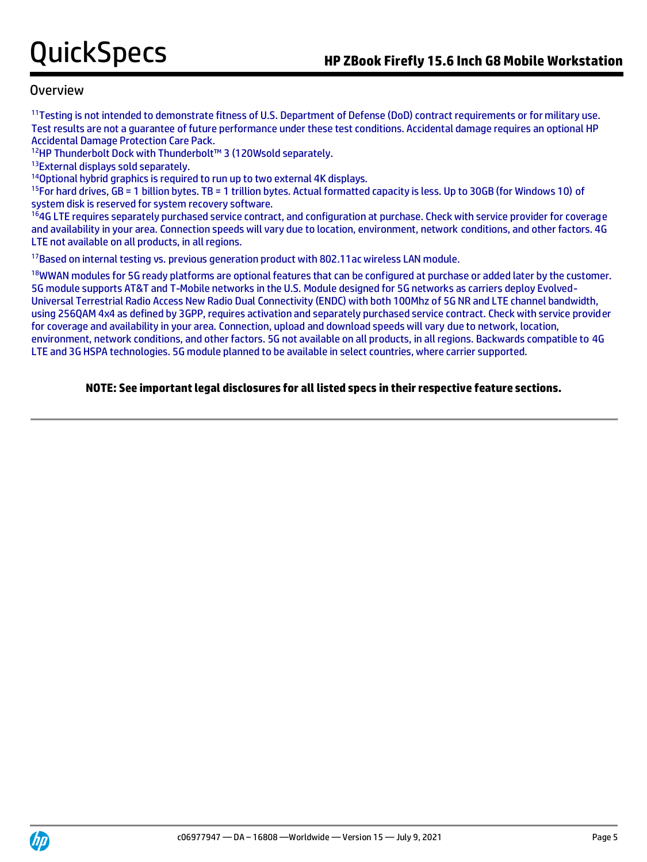<sup>11</sup>Testing is not intended to demonstrate fitness of U.S. Department of Defense (DoD) contract requirements or for military use. Test results are not a guarantee of future performance under these test conditions. Accidental damage requires an optional HP Accidental Damage Protection Care Pack.

<sup>12</sup>HP Thunderbolt Dock with Thunderbolt™ 3 (120Wsold separately.

13External displays sold separately.

<sup>14</sup>Optional hybrid graphics is required to run up to two external 4K displays.

 $15$ For hard drives, GB = 1 billion bytes. TB = 1 trillion bytes. Actual formatted capacity is less. Up to 30GB (for Windows 10) of system disk is reserved for system recovery software.

<sup>16</sup>4G LTE requires separately purchased service contract, and configuration at purchase. Check with service provider for coverage and availability in your area. Connection speeds will vary due to location, environment, network conditions, and other factors. 4G LTE not available on all products, in all regions.

<sup>17</sup>Based on internal testing vs. previous generation product with 802.11ac wireless LAN module.

<sup>18</sup>WWAN modules for 5G ready platforms are optional features that can be configured at purchase or added later by the customer. 5G module supports AT&T and T-Mobile networks in the U.S. Module designed for 5G networks as carriers deploy Evolved-Universal Terrestrial Radio Access New Radio Dual Connectivity (ENDC) with both 100Mhz of 5G NR and LTE channel bandwidth, using 256QAM 4x4 as defined by 3GPP, requires activation and separately purchased service contract. Check with service provider for coverage and availability in your area. Connection, upload and download speeds will vary due to network, location, environment, network conditions, and other factors. 5G not available on all products, in all regions. Backwards compatible to 4G LTE and 3G HSPA technologies. 5G module planned to be available in select countries, where carrier supported.

## **NOTE: See important legal disclosures for all listed specs in their respective feature sections.**

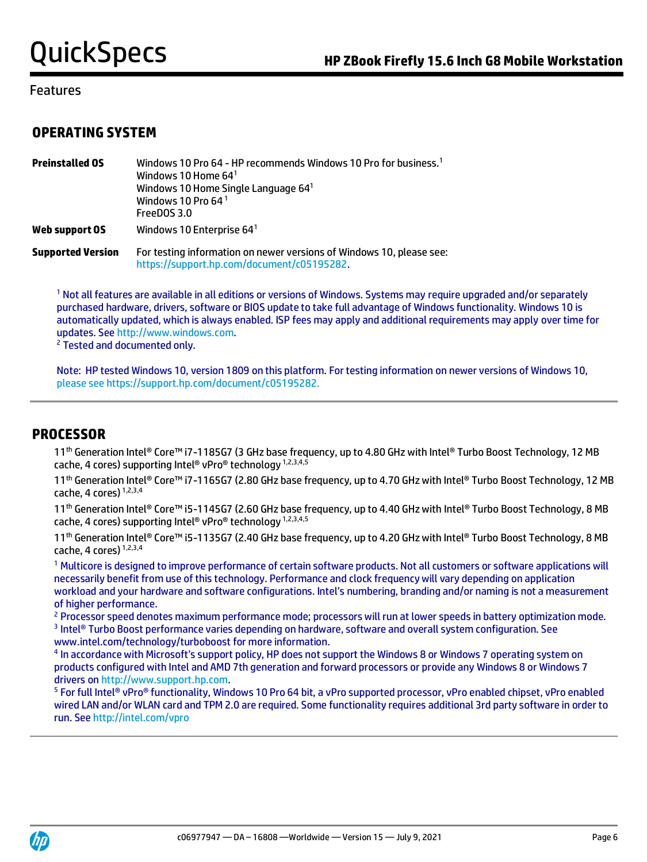## **OPERATING SYSTEM**

| <b>Preinstalled OS</b>   | Windows 10 Pro 64 - HP recommends Windows 10 Pro for business. <sup>1</sup><br>Windows 10 Home $641$<br>Windows 10 Home Single Language 641<br>Windows 10 Pro 64 <sup>1</sup><br>FreeDOS 3.0 |
|--------------------------|----------------------------------------------------------------------------------------------------------------------------------------------------------------------------------------------|
| Web support OS           | Windows 10 Enterprise 64 <sup>1</sup>                                                                                                                                                        |
| <b>Supported Version</b> | For testing information on newer versions of Windows 10, please see:<br>https://support.hp.com/document/c05195282.                                                                           |

<sup>1</sup> Not all features are available in all editions or versions of Windows. Systems may require upgraded and/or separately purchased hardware, drivers, software or BIOS update to take full advantage of Windows functionality. Windows 10 is automatically updated, which is always enabled. ISP fees may apply and additional requirements may apply over time for updates. Se[e http://www.windows.com.](http://www.windows.com/)

<sup>2</sup> Tested and documented only.

Note: HP tested Windows 10, version 1809 on this platform. For testing information on newer versions of Windows 10, please see https://support.hp.com/document/c05195282.

## **PROCESSOR**

11<sup>th</sup> Generation Intel® Core™ i7-1185G7 (3 GHz base frequency, up to 4.80 GHz with Intel® Turbo Boost Technology, 12 MB cache, 4 cores) supporting Intel® vPro® technology 1,2,3,4,5

11<sup>th</sup> Generation Intel® Core™ i7-1165G7 (2.80 GHz base frequency, up to 4.70 GHz with Intel® Turbo Boost Technology, 12 MB cache, 4 cores) 1,2,3,4

11<sup>th</sup> Generation Intel® Core™ i5-1145G7 (2.60 GHz base frequency, up to 4.40 GHz with Intel® Turbo Boost Technology, 8 MB cache, 4 cores) supporting Intel® vPro® technology 1,2,3,4,5

11<sup>th</sup> Generation Intel® Core™ i5-1135G7 (2.40 GHz base frequency, up to 4.20 GHz with Intel® Turbo Boost Technology, 8 MB cache, 4 cores) 1,2,3,4

<sup>1</sup> Multicore is designed to improve performance of certain software products. Not all customers or software applications will necessarily benefit from use of this technology. Performance and clock frequency will vary depending on application workload and your hardware and software configurations. Intel's numbering, branding and/or naming is not a measurement of higher performance.

<sup>2</sup> Processor speed denotes maximum performance mode; processors will run at lower speeds in battery optimization mode. 3 Intel® Turbo Boost performance varies depending on hardware, software and overall system configuration. See www.intel.com/technology/turboboost for more information.

<sup>4</sup> In accordance with Microsoft's support policy, HP does not support the Windows 8 or Windows 7 operating system on products configured with Intel and AMD 7th generation and forward processors or provide any Windows 8 or Windows 7 drivers on [http://www.support.hp.com.](http://www.support.hp.com/)

<sup>5</sup> For full Intel® vPro® functionality, Windows 10 Pro 64 bit, a vPro supported processor, vPro enabled chipset, vPro enabled wired LAN and/or WLAN card and TPM 2.0 are required. Some functionality requires additional 3rd party software in order to run. Se[e http://intel.com/vpro](http://intel.com/vpro)

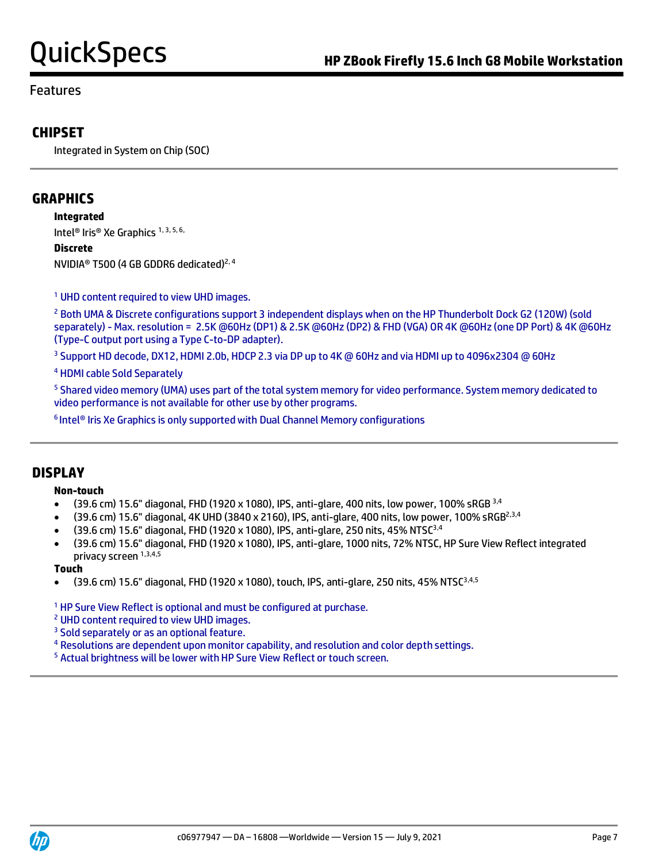# **CHIPSET**

Integrated in System on Chip (SOC)

# **GRAPHICS**

**Integrated** Intel<sup>®</sup> Iris<sup>®</sup> Xe Graphics<sup>1, 3, 5, 6,</sup>

**Discrete** NVIDIA® T500 (4 GB GDDR6 dedicated)2, 4

<sup>1</sup> UHD content required to view UHD images.

<sup>2</sup> Both UMA & Discrete configurations support 3 independent displays when on the HP Thunderbolt Dock G2 (120W) (sold separately) - Max. resolution = 2.5K @60Hz (DP1) & 2.5K @60Hz (DP2) & FHD (VGA) OR 4K @60Hz (one DP Port) & 4K @60Hz (Type-C output port using a Type C-to-DP adapter).

<sup>3</sup> Support HD decode, DX12, HDMI 2.0b, HDCP 2.3 via DP up to 4K @ 60Hz and via HDMI up to 4096x2304 @ 60Hz

<sup>4</sup> HDMI cable Sold Separately

<sup>5</sup> Shared video memory (UMA) uses part of the total system memory for video performance. System memory dedicated to video performance is not available for other use by other programs.

<sup>6</sup> Intel® Iris Xe Graphics is only supported with Dual Channel Memory configurations

## **DISPLAY**

### **Non-touch**

- (39.6 cm) 15.6" diagonal, FHD (1920 x 1080), IPS, anti-glare, 400 nits, low power, 100% sRGB 3,4
- (39.6 cm) 15.6" diagonal, 4K UHD (3840 x 2160), IPS, anti-glare, 400 nits, low power, 100% sRGB2,3,4
- (39.6 cm) 15.6" diagonal, FHD (1920 x 1080), IPS, anti-glare, 250 nits, 45% NTSC3,4
- (39.6 cm) 15.6" diagonal, FHD (1920 x 1080), IPS, anti-glare, 1000 nits, 72% NTSC, HP Sure View Reflect integrated privacy screen 1,3,4,5

### **Touch**

 $\bullet$  (39.6 cm) 15.6" diagonal, FHD (1920 x 1080), touch, IPS, anti-glare, 250 nits, 45% NTSC<sup>3,4,5</sup>

<sup>1</sup> HP Sure View Reflect is optional and must be configured at purchase.

<sup>2</sup> UHD content required to view UHD images.

- <sup>3</sup> Sold separately or as an optional feature.
- <sup>4</sup> Resolutions are dependent upon monitor capability, and resolution and color depth settings.
- <sup>5</sup> Actual brightness will be lower with HP Sure View Reflect or touch screen.

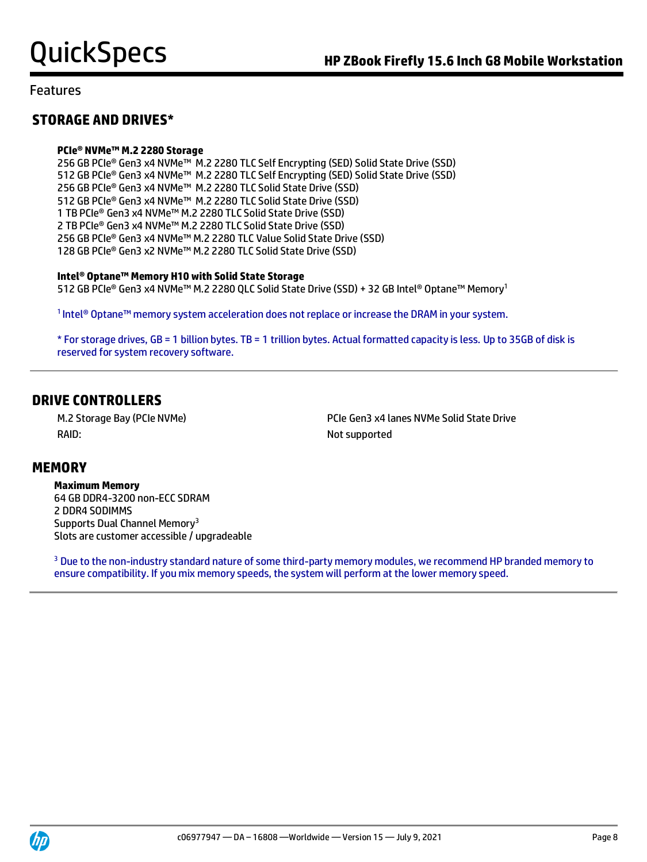# **STORAGE AND DRIVES\***

### **PCIe® NVMe™ M.2 2280 Storage**

256 GB PCIe® Gen3 x4 NVMe™ M.2 2280 TLC Self Encrypting (SED) Solid State Drive (SSD) 512 GB PCIe® Gen3 x4 NVMe™ M.2 2280 TLC Self Encrypting (SED) Solid State Drive (SSD) 256 GB PCIe® Gen3 x4 NVMe™ M.2 2280 TLC Solid State Drive (SSD) 512 GB PCIe® Gen3 x4 NVMe™ M.2 2280 TLC Solid State Drive (SSD) 1 TB PCIe® Gen3 x4 NVMe™ M.2 2280 TLC Solid State Drive (SSD) 2 TB PCIe® Gen3 x4 NVMe™ M.2 2280 TLC Solid State Drive (SSD) 256 GB PCIe® Gen3 x4 NVMe™ M.2 2280 TLC Value Solid State Drive (SSD) 128 GB PCIe® Gen3 x2 NVMe™ M.2 2280 TLC Solid State Drive (SSD)

### **Intel® Optane™ Memory H10 with Solid State Storage**

512 GB PCIe® Gen3 x4 NVMe™ M.2 2280 QLC Solid State Drive (SSD) + 32 GB Intel® Optane™ Memory<sup>1</sup>

1 Intel® Optane™ memory system acceleration does not replace or increase the DRAM in your system.

\* For storage drives, GB = 1 billion bytes. TB = 1 trillion bytes. Actual formatted capacity is less. Up to 35GB of disk is reserved for system recovery software.

## **DRIVE CONTROLLERS**

RAID: Not supported

M.2 Storage Bay (PCIe NVMe) PCIe Gen3 x4 lanes NVMe Solid State Drive

## **MEMORY**

**Maximum Memory** 64 GB DDR4-3200 non-ECC SDRAM 2 DDR4 SODIMMS Supports Dual Channel Memory<sup>3</sup> Slots are customer accessible / upgradeable

<sup>3</sup> Due to the non-industry standard nature of some third-party memory modules, we recommend HP branded memory to ensure compatibility. If you mix memory speeds, the system will perform at the lower memory speed.

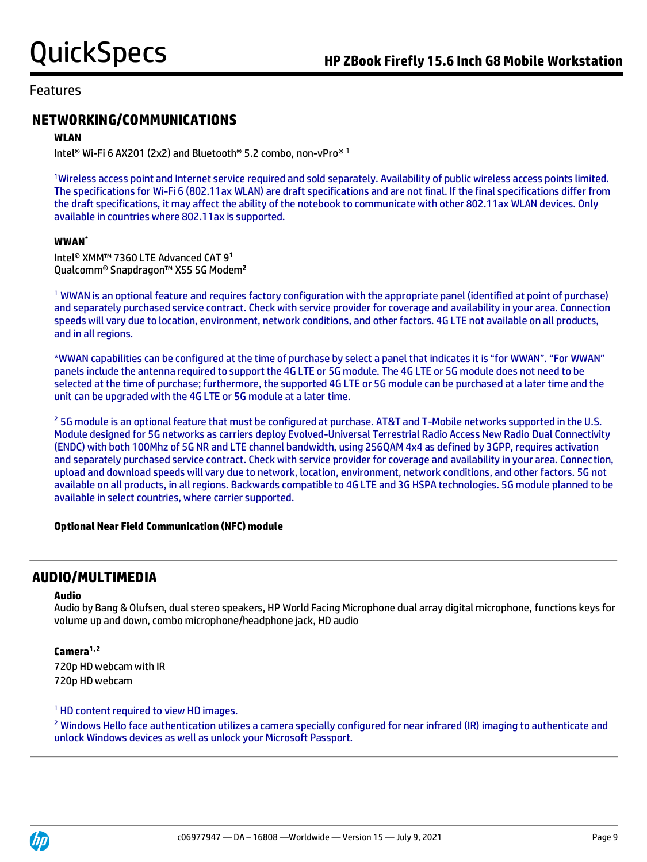# **NETWORKING/COMMUNICATIONS**

### **WLAN**

Intel® Wi-Fi 6 AX201 (2x2) and Bluetooth® 5.2 combo, non-vPro® 1

<sup>1</sup>Wireless access point and Internet service required and sold separately. Availability of public wireless access points limited. The specifications for Wi-Fi 6 (802.11ax WLAN) are draft specifications and are not final. If the final specifications differ from the draft specifications, it may affect the ability of the notebook to communicate with other 802.11ax WLAN devices. Only available in countries where 802.11ax is supported.

### **WWAN\***

Intel® XMM™ 7360 LTE Advanced CAT 9**<sup>1</sup>** Qualcomm® Snapdragon™ X55 5G Modem**<sup>2</sup>**

<sup>1</sup> WWAN is an optional feature and requires factory configuration with the appropriate panel (identified at point of purchase) and separately purchased service contract. Check with service provider for coverage and availability in your area. Connection speeds will vary due to location, environment, network conditions, and other factors. 4G LTE not available on all products, and in all regions.

\*WWAN capabilities can be configured at the time of purchase by select a panel that indicates it is "for WWAN". "For WWAN" panels include the antenna required to support the 4G LTE or 5G module. The 4G LTE or 5G module does not need to be selected at the time of purchase; furthermore, the supported 4G LTE or 5G module can be purchased at a later time and the unit can be upgraded with the 4G LTE or 5G module at a later time.

<sup>2</sup> 5G module is an optional feature that must be configured at purchase. AT&T and T-Mobile networks supported in the U.S. Module designed for 5G networks as carriers deploy Evolved-Universal Terrestrial Radio Access New Radio Dual Connectivity (ENDC) with both 100Mhz of 5G NR and LTE channel bandwidth, using 256QAM 4x4 as defined by 3GPP, requires activation and separately purchased service contract. Check with service provider for coverage and availability in your area. Connection, upload and download speeds will vary due to network, location, environment, network conditions, and other factors. 5G not available on all products, in all regions. Backwards compatible to 4G LTE and 3G HSPA technologies. 5G module planned to be available in select countries, where carrier supported.

### **Optional Near Field Communication (NFC) module**

## **AUDIO/MULTIMEDIA**

### **Audio**

Audio by Bang & Olufsen, dual stereo speakers, HP World Facing Microphone dual array digital microphone, functions keys for volume up and down, combo microphone/headphone jack, HD audio

## **Camera1, 2**

720p HD webcam with IR 720p HD webcam

## <sup>1</sup> HD content required to view HD images.

<sup>2</sup> Windows Hello face authentication utilizes a camera specially configured for near infrared (IR) imaging to authenticate and unlock Windows devices as well as unlock your Microsoft Passport.

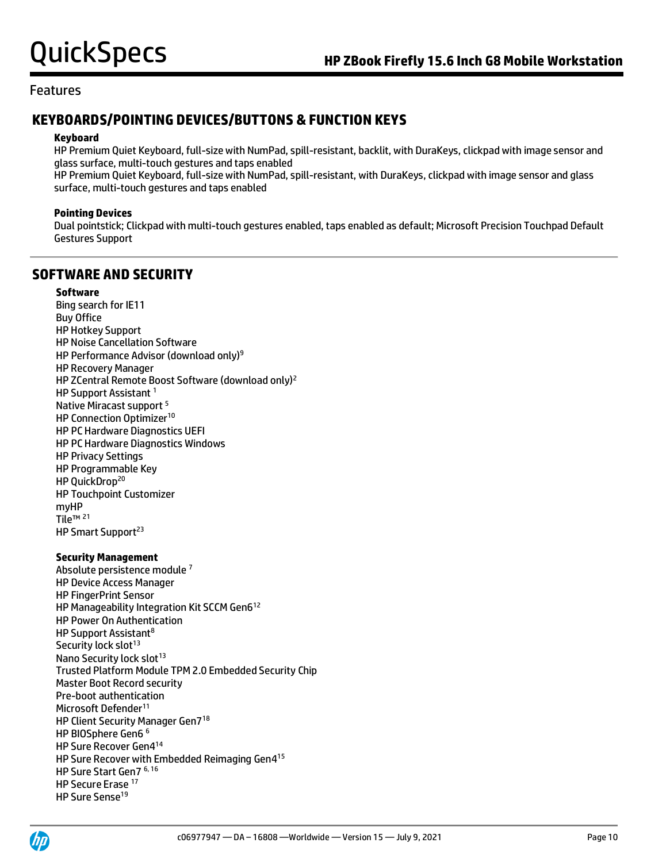# **KEYBOARDS/POINTING DEVICES/BUTTONS & FUNCTION KEYS**

### **Keyboard**

HP Premium Quiet Keyboard, full-size with NumPad, spill-resistant, backlit, with DuraKeys, clickpad with image sensor and glass surface, multi-touch gestures and taps enabled

HP Premium Quiet Keyboard, full-size with NumPad, spill-resistant, with DuraKeys, clickpad with image sensor and glass surface, multi-touch gestures and taps enabled

### **Pointing Devices**

Dual pointstick; Clickpad with multi-touch gestures enabled, taps enabled as default; Microsoft Precision Touchpad Default Gestures Support

# **SOFTWARE AND SECURITY**

## **Software**

Bing search for IE11 Buy Office HP Hotkey Support HP Noise Cancellation Software HP Performance Advisor (download only)<sup>9</sup> HP Recovery Manager HP ZCentral Remote Boost Software (download only)<sup>2</sup> HP Support Assistant<sup>1</sup> Native Miracast support <sup>5</sup> HP Connection Optimizer<sup>10</sup> HP PC Hardware Diagnostics UEFI HP PC Hardware Diagnostics Windows HP Privacy Settings HP Programmable Key HP QuickDrop<sup>20</sup> HP Touchpoint Customizer myHP Tile™<sup>21</sup> HP Smart Support<sup>23</sup>

## **Security Management**

Absolute persistence module <sup>7</sup> HP Device Access Manager HP FingerPrint Sensor HP Manageability Integration Kit SCCM Gen6<sup>12</sup> HP Power On Authentication HP Support Assistant<sup>8</sup> Security lock slot<sup>13</sup> Nano Security lock slot<sup>13</sup> Trusted Platform Module TPM 2.0 Embedded Security Chip Master Boot Record security Pre-boot authentication Microsoft Defender<sup>11</sup> HP Client Security Manager Gen7 18 HP BIOSphere Gen6 6 HP Sure Recover Gen4 14 HP Sure Recover with Embedded Reimaging Gen4 15 HP Sure Start Gen7 6, 16 HP Secure Erase 17 HP Sure Sense<sup>19</sup>

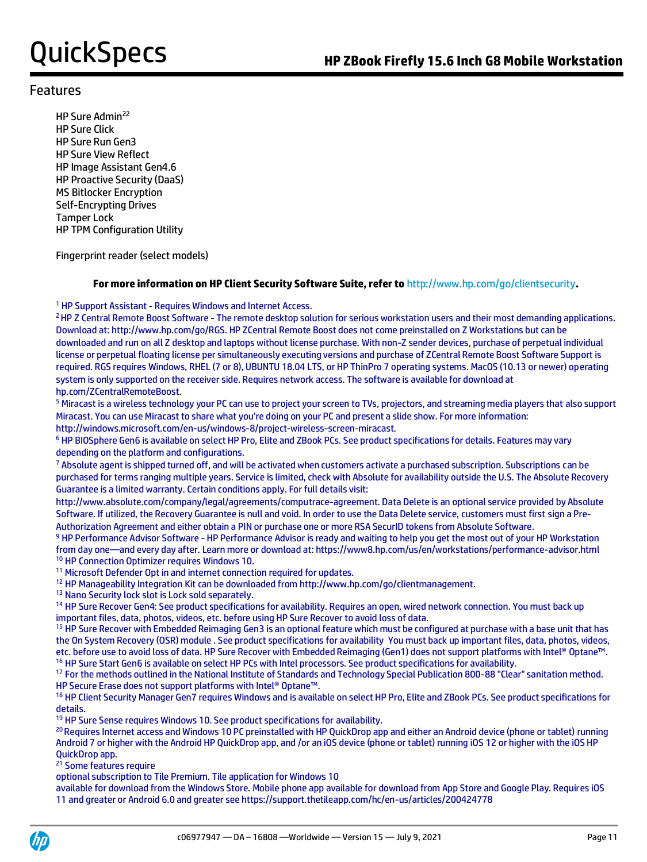HP Sure Admin<sup>22</sup> HP Sure Click HP Sure Run Gen3 HP Sure View Reflect HP Image Assistant Gen4.6 HP Proactive Security (DaaS) MS Bitlocker Encryption Self-Encrypting Drives Tamper Lock HP TPM Configuration Utility

Fingerprint reader (select models)

### **For more information on HP Client Security Software Suite, refer to** http://www.hp.com/go/clientsecurity**.**

<sup>1</sup> HP Support Assistant - Requires Windows and Internet Access.

<sup>2</sup> HP Z Central Remote Boost Software - The remote desktop solution for serious workstation users and their most demanding applications. Download at: http://www.hp.com/go/RGS. HP ZCentral Remote Boost does not come preinstalled on Z Workstations but can be downloaded and run on all Z desktop and laptops without license purchase. With non-Z sender devices, purchase of perpetual individual license or perpetual floating license per simultaneously executing versions and purchase of ZCentral Remote Boost Software Support is required. RGS requires Windows, RHEL (7 or 8), UBUNTU 18.04 LTS, or HP ThinPro 7 operating systems. MacOS (10.13 or newer) operating system is only supported on the receiver side. Requires network access. The software is available for download at hp.com/ZCentralRemoteBoost.

<sup>5</sup> Miracast is a wireless technology your PC can use to project your screen to TVs, projectors, and streaming media players that also support Miracast. You can use Miracast to share what you're doing on your PC and present a slide show. For more information: http://windows.microsoft.com/en-us/windows-8/project-wireless-screen-miracast.

<sup>6</sup> HP BIOSphere Gen6 is available on select HP Pro, Elite and ZBook PCs. See product specifications for details. Features may vary depending on the platform and configurations.

<sup>7</sup> Absolute agent is shipped turned off, and will be activated when customers activate a purchased subscription. Subscriptions can be purchased for terms ranging multiple years. Service is limited, check with Absolute for availability outside the U.S. The Absolute Recovery Guarantee is a limited warranty. Certain conditions apply. For full details visit:

http://www.absolute.com/company/legal/agreements/computrace-agreement. Data Delete is an optional service provided by Absolute Software. If utilized, the Recovery Guarantee is null and void. In order to use the Data Delete service, customers must first sign a Pre-Authorization Agreement and either obtain a PIN or purchase one or more RSA SecurID tokens from Absolute Software.

9 HP Performance Advisor Software - HP Performance Advisor is ready and waiting to help you get the most out of your HP Workstation from day one—and every day after. Learn more or download at: https://www8.hp.com/us/en/workstations/performance-advisor.html <sup>10</sup> HP Connection Optimizer requires Windows 10.

<sup>11</sup> Microsoft Defender Opt in and internet connection required for updates.

<sup>12</sup> HP Manageability Integration Kit can be downloaded from http://www.hp.com/go/clientmanagement.

<sup>13</sup> Nano Security lock slot is Lock sold separately.

<sup>14</sup> HP Sure Recover Gen4: See product specifications for availability. Requires an open, wired network connection. You must back up important files, data, photos, videos, etc. before using HP Sure Recover to avoid loss of data.

<sup>15</sup> HP Sure Recover with Embedded Reimaging Gen3 is an optional feature which must be configured at purchase with a base unit that has the On System Recovery (OSR) module . See product specifications for availability You must back up important files, data, photos, videos, etc. before use to avoid loss of data. HP Sure Recover with Embedded Reimaging (Gen1) does not support platforms with Intel® Optane™. <sup>16</sup> HP Sure Start Gen6 is available on select HP PCs with Intel processors. See product specifications for availability.

17 For the methods outlined in the National Institute of Standards and Technology Special Publication 800-88 "Clear" sanitation method. HP Secure Erase does not support platforms with Intel® Optane™.

<sup>18</sup> HP Client Security Manager Gen7 requires Windows and is available on select HP Pro, Elite and ZBook PCs. See product specifications for details.

<sup>19</sup> HP Sure Sense requires Windows 10. See product specifications for availability.

<sup>20</sup> Requires Internet access and Windows 10 PC preinstalled with HP QuickDrop app and either an Android device (phone or tablet) running Android 7 or higher with the Android HP QuickDrop app, and /or an iOS device (phone or tablet) running iOS 12 or higher with the iOS HP QuickDrop app.

<sup>21</sup> Some features require

optional subscription to Tile Premium. Tile application for Windows 10

available for download from the Windows Store. Mobile phone app available for download from App Store and Google Play. Requires iOS 11 and greater or Android 6.0 and greater see https://support.thetileapp.com/hc/en-us/articles/200424778

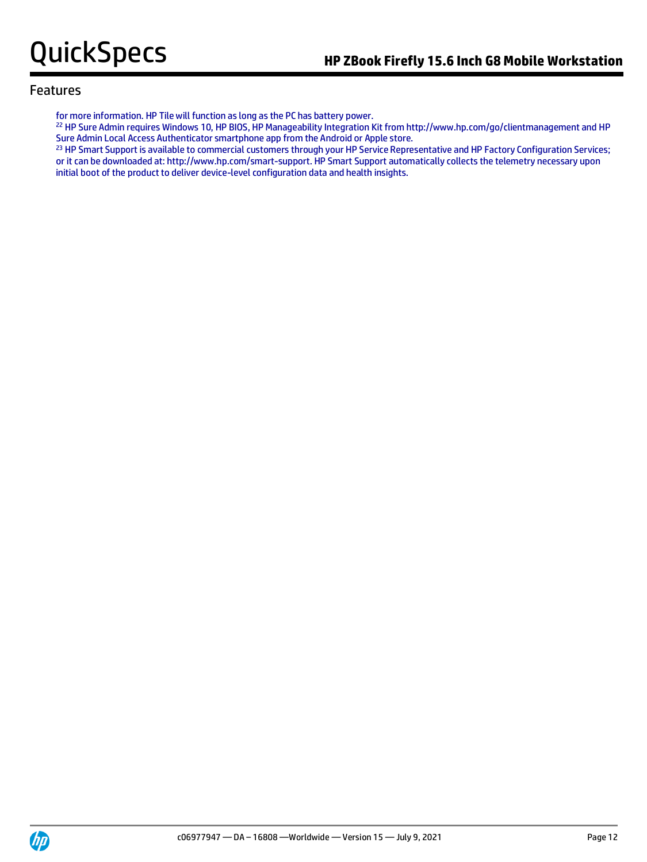for more information. HP Tile will function as long as the PC has battery power.

<sup>22</sup> HP Sure Admin requires Windows 10, HP BIOS, HP Manageability Integration Kit from http://www.hp.com/go/clientmanagement and HP Sure Admin Local Access Authenticator smartphone app from the Android or Apple store.

<sup>23</sup> HP Smart Support is available to commercial customers through your HP Service Representative and HP Factory Configuration Services; or it can be downloaded at: http://www.hp.com/smart-support. HP Smart Support automatically collects the telemetry necessary upon initial boot of the product to deliver device-level configuration data and health insights.

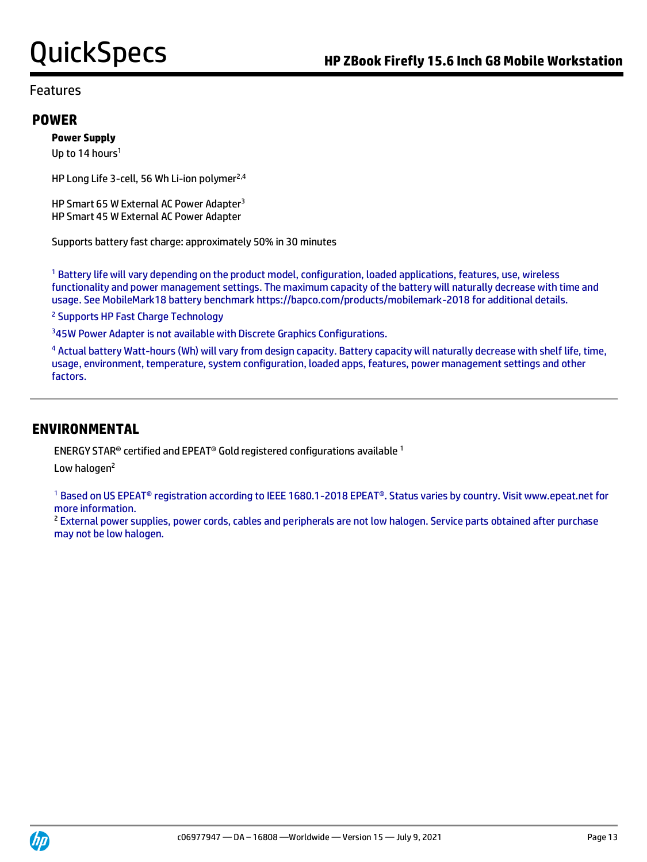## **POWER**

## **Power Supply**

Up to 14 hours<sup>1</sup>

HP Long Life 3-cell, 56 Wh Li-ion polymer<sup>2,4</sup>

HP Smart 65 W External AC Power Adapter<sup>3</sup> HP Smart 45 W External AC Power Adapter

Supports battery fast charge: approximately 50% in 30 minutes

<sup>1</sup> Battery life will vary depending on the product model, configuration, loaded applications, features, use, wireless functionality and power management settings. The maximum capacity of the battery will naturally decrease with time and usage. See MobileMark18 battery benchmark https://bapco.com/products/mobilemark-2018 for additional details.

<sup>2</sup> Supports HP Fast Charge Technology

<sup>3</sup>45W Power Adapter is not available with Discrete Graphics Configurations.

<sup>4</sup> Actual battery Watt-hours (Wh) will vary from design capacity. Battery capacity will naturally decrease with shelf life, time, usage, environment, temperature, system configuration, loaded apps, features, power management settings and other factors.

## **ENVIRONMENTAL**

ENERGY STAR<sup>®</sup> certified and EPEAT<sup>®</sup> Gold registered configurations available  $1$ 

Low halogen<sup>2</sup>

<sup>1</sup> Based on US EPEAT® registration according to IEEE 1680.1-2018 EPEAT®. Status varies by country. Visit www.epeat.net for more information.

<sup>2</sup> External power supplies, power cords, cables and peripherals are not low halogen. Service parts obtained after purchase may not be low halogen.

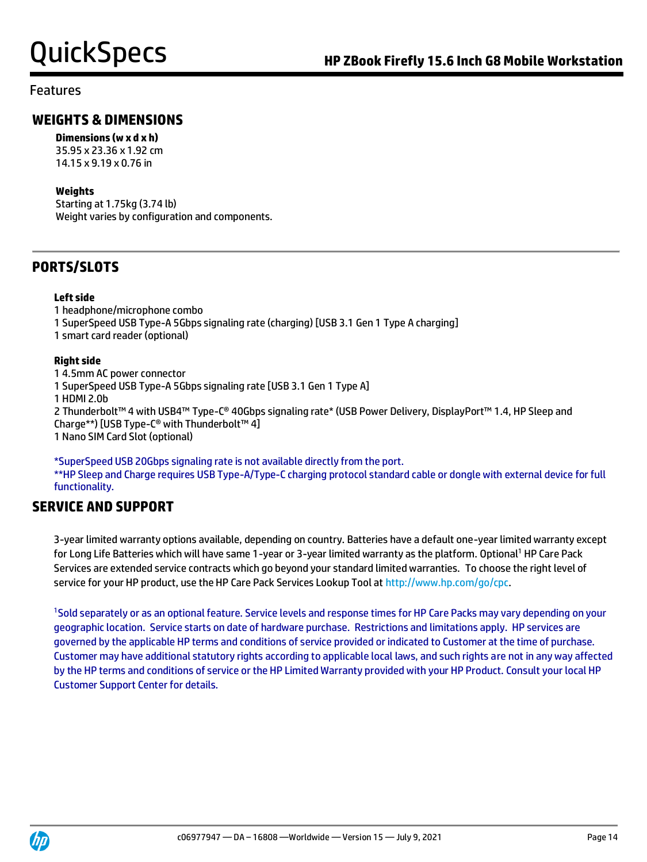# **WEIGHTS & DIMENSIONS**

## **Dimensions (w x d x h)**

35.95 x 23.36 x 1.92 cm 14.15 x 9.19 x 0.76 in

## **Weights**

Starting at 1.75kg (3.74 lb) Weight varies by configuration and components.

# **PORTS/SLOTS**

## **Left side**

1 headphone/microphone combo 1 SuperSpeed USB Type-A 5Gbps signaling rate (charging) [USB 3.1 Gen 1 Type A charging] 1 smart card reader (optional)

## **Right side**

1 4.5mm AC power connector 1 SuperSpeed USB Type-A 5Gbps signaling rate [USB 3.1 Gen 1 Type A] 1 HDMI 2.0b 2 Thunderbolt™ 4 with USB4™ Type-C® 40Gbps signaling rate\* (USB Power Delivery, DisplayPort™ 1.4, HP Sleep and Charge\*\*) [USB Type-C® with Thunderbolt™ 4] 1 Nano SIM Card Slot (optional)

\*SuperSpeed USB 20Gbps signaling rate is not available directly from the port. \*\*HP Sleep and Charge requires USB Type-A/Type-C charging protocol standard cable or dongle with external device for full functionality.

# **SERVICE AND SUPPORT**

3-year limited warranty options available, depending on country. Batteries have a default one-year limited warranty except for Long Life Batteries which will have same 1-year or 3-year limited warranty as the platform. Optional<sup>1</sup> HP Care Pack Services are extended service contracts which go beyond your standard limited warranties. To choose the right level of service for your HP product, use the HP Care Pack Services Lookup Tool at [http://www.hp.com/go/cpc.](http://www.hp.com/go/cpc)

<sup>1</sup>Sold separately or as an optional feature. Service levels and response times for HP Care Packs may vary depending on your geographic location. Service starts on date of hardware purchase. Restrictions and limitations apply. HP services are governed by the applicable HP terms and conditions of service provided or indicated to Customer at the time of purchase. Customer may have additional statutory rights according to applicable local laws, and such rights are not in any way affected by the HP terms and conditions of service or the HP Limited Warranty provided with your HP Product. Consult your local HP Customer Support Center for details.

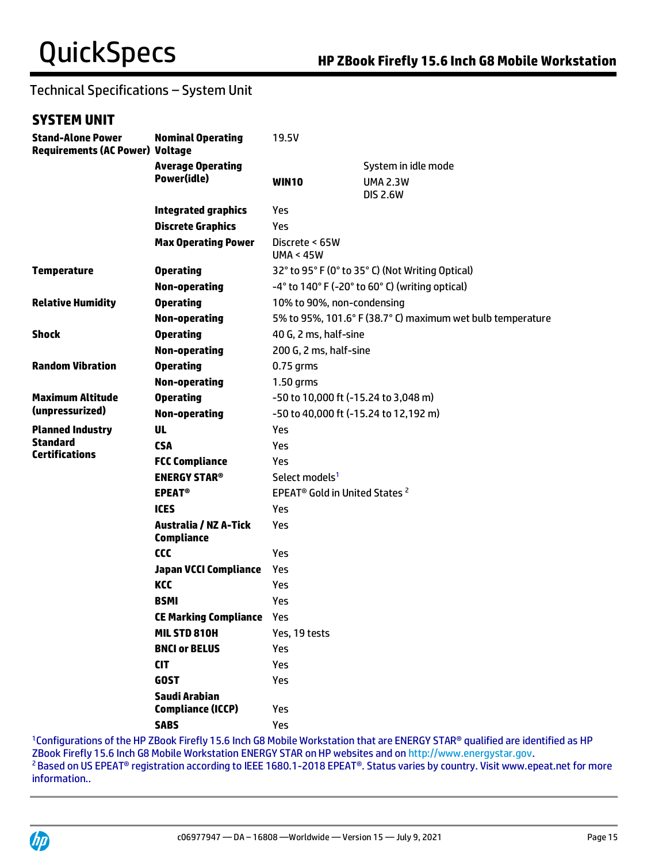# Technical Specifications – System Unit

# **SYSTEM UNIT**

| <b>Stand-Alone Power</b><br><b>Requirements (AC Power) Voltage</b> | <b>Nominal Operating</b>                          | 19.5V                                                              |                                                            |  |
|--------------------------------------------------------------------|---------------------------------------------------|--------------------------------------------------------------------|------------------------------------------------------------|--|
|                                                                    | <b>Average Operating</b>                          |                                                                    | System in idle mode                                        |  |
|                                                                    | Power(idle)                                       | <b>WIN10</b>                                                       | <b>UMA 2.3W</b><br><b>DIS 2.6W</b>                         |  |
|                                                                    | <b>Integrated graphics</b>                        | Yes                                                                |                                                            |  |
|                                                                    | <b>Discrete Graphics</b>                          | Yes                                                                |                                                            |  |
|                                                                    | <b>Max Operating Power</b>                        | Discrete < 65W<br>UMA < 45W                                        |                                                            |  |
| <b>Temperature</b>                                                 | <b>Operating</b>                                  | 32° to 95° F (0° to 35° C) (Not Writing Optical)                   |                                                            |  |
|                                                                    | Non-operating                                     | $-4^{\circ}$ to 140° F ( $-20^{\circ}$ to 60° C) (writing optical) |                                                            |  |
| <b>Relative Humidity</b>                                           | <b>Operating</b>                                  | 10% to 90%, non-condensing                                         |                                                            |  |
|                                                                    | <b>Non-operating</b>                              |                                                                    | 5% to 95%, 101.6° F (38.7° C) maximum wet bulb temperature |  |
| <b>Shock</b>                                                       | <b>Operating</b>                                  | 40 G, 2 ms, half-sine                                              |                                                            |  |
|                                                                    | <b>Non-operating</b>                              | 200 G, 2 ms, half-sine                                             |                                                            |  |
| <b>Random Vibration</b>                                            | <b>Operating</b>                                  | $0.75$ qrms                                                        |                                                            |  |
|                                                                    | <b>Non-operating</b>                              | $1.50$ grms                                                        |                                                            |  |
| <b>Maximum Altitude</b>                                            | <b>Operating</b>                                  | -50 to 10,000 ft (-15.24 to 3,048 m)                               |                                                            |  |
| (unpressurized)                                                    | <b>Non-operating</b>                              | -50 to 40,000 ft (-15.24 to 12,192 m)                              |                                                            |  |
| <b>Planned Industry</b>                                            | <b>UL</b>                                         | Yes                                                                |                                                            |  |
| <b>Standard</b><br><b>Certifications</b>                           | <b>CSA</b>                                        | Yes                                                                |                                                            |  |
|                                                                    | <b>FCC Compliance</b>                             | Yes                                                                |                                                            |  |
|                                                                    | <b>ENERGY STAR®</b>                               | Select models <sup>1</sup>                                         |                                                            |  |
|                                                                    | <b>EPEAT<sup>®</sup></b>                          | EPEAT <sup>®</sup> Gold in United States <sup>2</sup>              |                                                            |  |
|                                                                    | <b>ICES</b>                                       | Yes                                                                |                                                            |  |
|                                                                    | <b>Australia / NZ A-Tick</b><br><b>Compliance</b> | Yes                                                                |                                                            |  |
|                                                                    | <b>CCC</b>                                        | Yes                                                                |                                                            |  |
|                                                                    | <b>Japan VCCI Compliance</b>                      | Yes                                                                |                                                            |  |
|                                                                    | KCC                                               | Yes                                                                |                                                            |  |
|                                                                    | <b>BSMI</b>                                       | Yes                                                                |                                                            |  |
|                                                                    | <b>CE Marking Compliance Yes</b>                  |                                                                    |                                                            |  |
|                                                                    | MIL STD 810H                                      | Yes, 19 tests                                                      |                                                            |  |
|                                                                    | <b>BNCI or BELUS</b>                              | Yes                                                                |                                                            |  |
|                                                                    | <b>CIT</b>                                        | Yes                                                                |                                                            |  |
|                                                                    | <b>GOST</b>                                       | Yes                                                                |                                                            |  |
|                                                                    | Saudi Arabian<br><b>Compliance (ICCP)</b>         | Yes                                                                |                                                            |  |
|                                                                    | <b>SABS</b>                                       | Yes                                                                |                                                            |  |

<sup>1</sup>Configurations of the HP ZBook Firefly 15.6 Inch G8 Mobile Workstation that are ENERGY STAR<sup>®</sup> qualified are identified as HP ZBook Firefly 15.6 Inch G8 Mobile Workstation ENERGY STAR on HP websites and on [http://www.energystar.gov.](http://www.energystar.gov/) <sup>2</sup> Based on US EPEAT<sup>®</sup> registration according to IEEE 1680.1-2018 EPEAT®. Status varies by country. Visit www.epeat.net for more information..

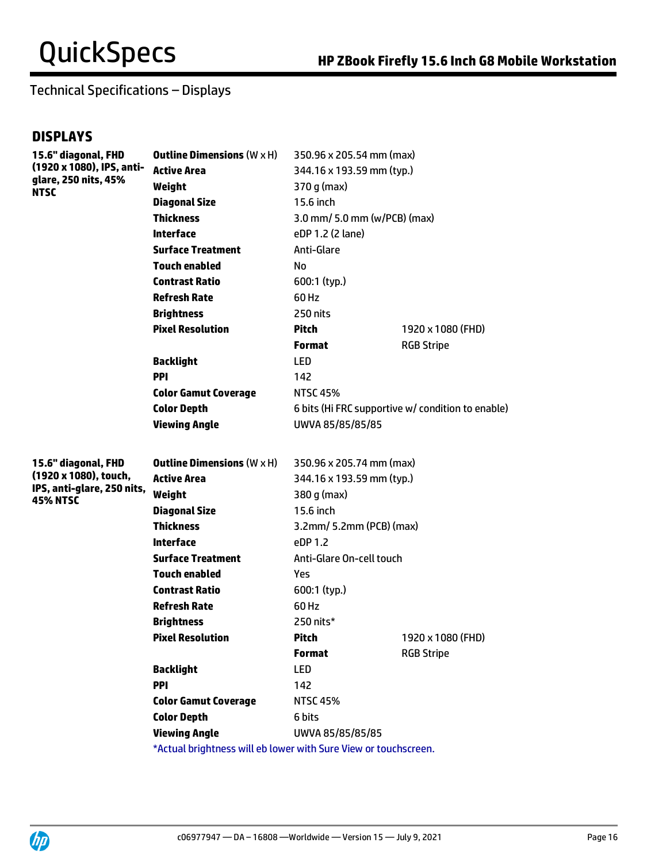# Technical Specifications – Displays

# **DISPLAYS**

| 15.6" diagonal, FHD                                              | <b>Outline Dimensions (<math>W \times H</math>)</b>             | 350.96 x 205.54 mm (max)     |                                                   |
|------------------------------------------------------------------|-----------------------------------------------------------------|------------------------------|---------------------------------------------------|
| (1920 x 1080), IPS, anti-<br>glare, 250 nits, 45%<br><b>NTSC</b> | <b>Active Area</b>                                              | 344.16 x 193.59 mm (typ.)    |                                                   |
|                                                                  | Weight                                                          | $370$ g (max)                |                                                   |
|                                                                  | <b>Diagonal Size</b>                                            | 15.6 inch                    |                                                   |
|                                                                  | <b>Thickness</b>                                                | 3.0 mm/ 5.0 mm (w/PCB) (max) |                                                   |
|                                                                  | <b>Interface</b>                                                | eDP 1.2 (2 lane)             |                                                   |
|                                                                  | <b>Surface Treatment</b>                                        | Anti-Glare                   |                                                   |
|                                                                  | <b>Touch enabled</b>                                            | No.                          |                                                   |
|                                                                  | <b>Contrast Ratio</b>                                           | 600:1 (typ.)                 |                                                   |
|                                                                  | <b>Refresh Rate</b>                                             | 60 Hz                        |                                                   |
|                                                                  | <b>Brightness</b>                                               | 250 nits                     |                                                   |
|                                                                  | <b>Pixel Resolution</b>                                         | <b>Pitch</b>                 | 1920 x 1080 (FHD)                                 |
|                                                                  |                                                                 | <b>Format</b>                | <b>RGB Stripe</b>                                 |
|                                                                  | <b>Backlight</b>                                                | LED                          |                                                   |
|                                                                  | <b>PPI</b>                                                      | 142                          |                                                   |
|                                                                  | <b>Color Gamut Coverage</b>                                     | <b>NTSC 45%</b>              |                                                   |
|                                                                  | <b>Color Depth</b>                                              |                              | 6 bits (Hi FRC supportive w/ condition to enable) |
|                                                                  | <b>Viewing Angle</b>                                            | UWVA 85/85/85/85             |                                                   |
|                                                                  |                                                                 |                              |                                                   |
| 15.6" diagonal, FHD                                              | <b>Outline Dimensions</b> $(W \times H)$                        | 350.96 x 205.74 mm (max)     |                                                   |
| (1920 x 1080), touch,                                            | <b>Active Area</b>                                              | 344.16 x 193.59 mm (typ.)    |                                                   |
| IPS, anti-glare, 250 nits,<br><b>45% NTSC</b>                    | Weight                                                          | 380 g (max)                  |                                                   |
|                                                                  | <b>Diagonal Size</b>                                            | 15.6 inch                    |                                                   |
|                                                                  | <b>Thickness</b>                                                | 3.2mm/ 5.2mm (PCB) (max)     |                                                   |
|                                                                  | <b>Interface</b>                                                | eDP 1.2                      |                                                   |
|                                                                  | <b>Surface Treatment</b>                                        | Anti-Glare On-cell touch     |                                                   |
|                                                                  | <b>Touch enabled</b>                                            | Yes.                         |                                                   |
|                                                                  | <b>Contrast Ratio</b>                                           | 600:1 (typ.)                 |                                                   |
|                                                                  | <b>Refresh Rate</b>                                             | 60 Hz                        |                                                   |
|                                                                  | <b>Brightness</b>                                               | 250 nits*                    |                                                   |
|                                                                  | <b>Pixel Resolution</b>                                         | Pitch                        | 1920 x 1080 (FHD)                                 |
|                                                                  |                                                                 | <b>Format</b>                | <b>RGB Stripe</b>                                 |
|                                                                  | <b>Backlight</b>                                                | LED                          |                                                   |
|                                                                  | PPI                                                             | 142                          |                                                   |
|                                                                  | <b>Color Gamut Coverage</b>                                     | <b>NTSC 45%</b>              |                                                   |
|                                                                  | <b>Color Depth</b>                                              | 6 bits                       |                                                   |
|                                                                  | <b>Viewing Angle</b>                                            | UWVA 85/85/85/85             |                                                   |
|                                                                  | *Actual brightness will eb lower with Sure View or touchscreen. |                              |                                                   |

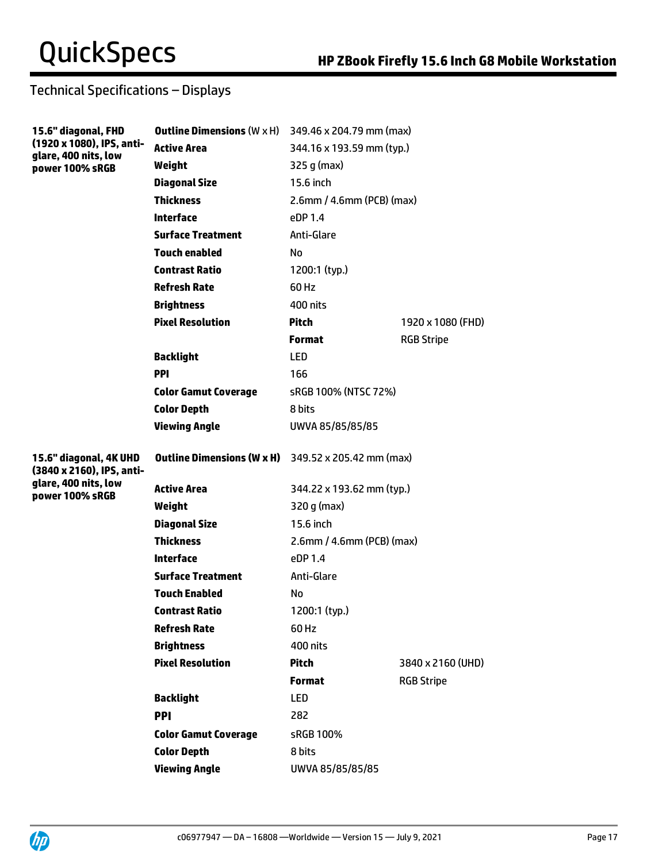# Technical Specifications – Displays

| 15.6" diagonal, FHD                                                  | <b>Outline Dimensions</b> $(W \times H)$                   | 349.46 x 204.79 mm (max)     |                   |
|----------------------------------------------------------------------|------------------------------------------------------------|------------------------------|-------------------|
| (1920 x 1080), IPS, anti-<br>glare, 400 nits, low<br>power 100% sRGB | <b>Active Area</b>                                         | 344.16 x 193.59 mm (typ.)    |                   |
|                                                                      | Weight                                                     | 325 g (max)                  |                   |
|                                                                      | <b>Diagonal Size</b>                                       | 15.6 inch                    |                   |
|                                                                      | <b>Thickness</b>                                           | $2.6$ mm / 4.6mm (PCB) (max) |                   |
|                                                                      | <b>Interface</b>                                           | eDP 1.4                      |                   |
|                                                                      | <b>Surface Treatment</b>                                   | Anti-Glare                   |                   |
|                                                                      | <b>Touch enabled</b>                                       | No.                          |                   |
|                                                                      | <b>Contrast Ratio</b>                                      | 1200:1 (typ.)                |                   |
|                                                                      | <b>Refresh Rate</b>                                        | 60 Hz                        |                   |
|                                                                      | <b>Brightness</b>                                          | 400 nits                     |                   |
|                                                                      | <b>Pixel Resolution</b>                                    | <b>Pitch</b>                 | 1920 x 1080 (FHD) |
|                                                                      |                                                            | <b>Format</b>                | <b>RGB Stripe</b> |
|                                                                      | <b>Backlight</b>                                           | <b>LED</b>                   |                   |
|                                                                      | <b>PPI</b>                                                 | 166                          |                   |
|                                                                      | <b>Color Gamut Coverage</b>                                | sRGB 100% (NTSC 72%)         |                   |
|                                                                      | <b>Color Depth</b>                                         | 8 bits                       |                   |
|                                                                      | <b>Viewing Angle</b>                                       | UWVA 85/85/85/85             |                   |
| 15.6" diagonal, 4K UHD<br>(3840 x 2160), IPS, anti-                  | <b>Outline Dimensions (W x H)</b> 349.52 x 205.42 mm (max) |                              |                   |
| glare, 400 nits, low<br>power 100% sRGB                              | <b>Active Area</b>                                         | 344.22 x 193.62 mm (typ.)    |                   |
|                                                                      | Weight                                                     | $320 g$ (max)                |                   |
|                                                                      | <b>Diagonal Size</b>                                       | 15.6 inch                    |                   |
|                                                                      | <b>Thickness</b>                                           | 2.6mm / 4.6mm (PCB) (max)    |                   |
|                                                                      | <b>Interface</b>                                           | PDP1.4                       |                   |
|                                                                      | <b>Surface Treatment</b>                                   | Anti-Glare                   |                   |
|                                                                      | <b>Touch Enabled</b>                                       | No                           |                   |
|                                                                      | <b>Contrast Ratio</b>                                      | 1200:1 (typ.)                |                   |
|                                                                      | <b>Refresh Rate</b>                                        | 60 Hz                        |                   |
|                                                                      | <b>Brightness</b>                                          | <b>400 nits</b>              |                   |
|                                                                      | <b>Pixel Resolution</b>                                    | <b>Pitch</b>                 | 3840 x 2160 (UHD) |
|                                                                      |                                                            | <b>Format</b>                | <b>RGB Stripe</b> |
|                                                                      | <b>Backlight</b>                                           | LED                          |                   |
|                                                                      | PPI                                                        | 282                          |                   |
|                                                                      | <b>Color Gamut Coverage</b>                                | sRGB 100%                    |                   |
|                                                                      | <b>Color Depth</b>                                         | 8 bits                       |                   |
|                                                                      | <b>Viewing Angle</b>                                       | UWVA 85/85/85/85             |                   |

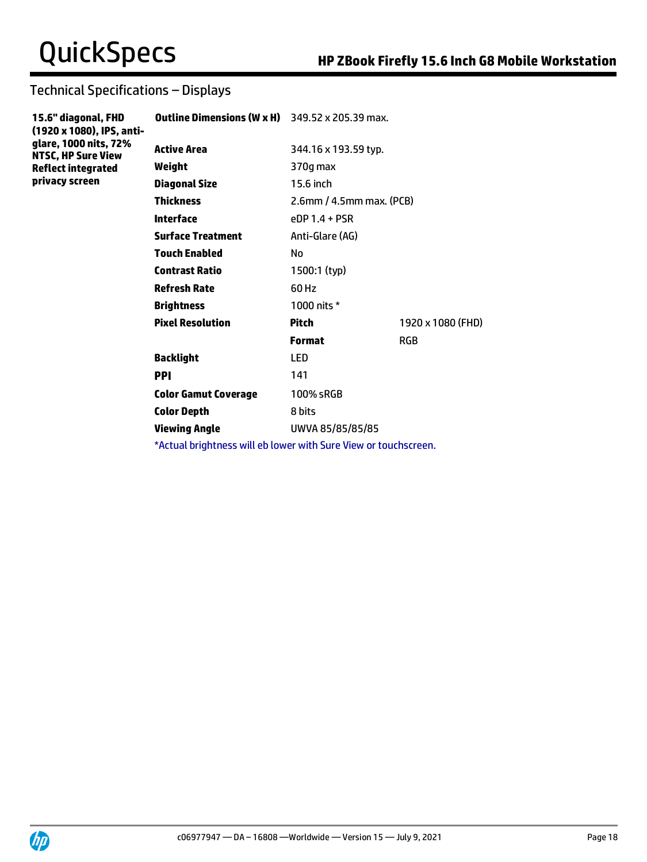# Technical Specifications – Displays

| 15.6" diagonal, FHD<br>(1920 x 1080), IPS, anti-<br>glare, 1000 nits, 72%<br><b>NTSC, HP Sure View</b> | <b>Outline Dimensions (W x H)</b> 349.52 x 205.39 max.          |                             |                   |
|--------------------------------------------------------------------------------------------------------|-----------------------------------------------------------------|-----------------------------|-------------------|
|                                                                                                        | <b>Active Area</b>                                              | 344.16 x 193.59 typ.        |                   |
| <b>Reflect integrated</b>                                                                              | Weight                                                          | 370g max                    |                   |
| privacy screen                                                                                         | <b>Diagonal Size</b>                                            | 15.6 inch                   |                   |
|                                                                                                        | <b>Thickness</b>                                                | $2.6$ mm / 4.5mm max. (PCB) |                   |
|                                                                                                        | <b>Interface</b>                                                | $eDP1.4 + PSR$              |                   |
|                                                                                                        | <b>Surface Treatment</b>                                        | Anti-Glare (AG)             |                   |
|                                                                                                        | <b>Touch Enabled</b>                                            | No.                         |                   |
|                                                                                                        | <b>Contrast Ratio</b>                                           | 1500:1 (typ)                |                   |
|                                                                                                        | <b>Refresh Rate</b>                                             | 60 Hz                       |                   |
|                                                                                                        | <b>Brightness</b>                                               | 1000 nits *                 |                   |
|                                                                                                        | <b>Pixel Resolution</b>                                         | <b>Pitch</b>                | 1920 x 1080 (FHD) |
|                                                                                                        |                                                                 | <b>Format</b>               | <b>RGB</b>        |
|                                                                                                        | <b>Backlight</b>                                                | LED                         |                   |
|                                                                                                        | <b>PPI</b>                                                      | 141                         |                   |
|                                                                                                        | <b>Color Gamut Coverage</b>                                     | 100% sRGB                   |                   |
|                                                                                                        | <b>Color Depth</b>                                              | 8 bits                      |                   |
|                                                                                                        | <b>Viewing Angle</b>                                            | UWVA 85/85/85/85            |                   |
|                                                                                                        | *Actual brightness will eb lower with Sure View or touchscreen. |                             |                   |

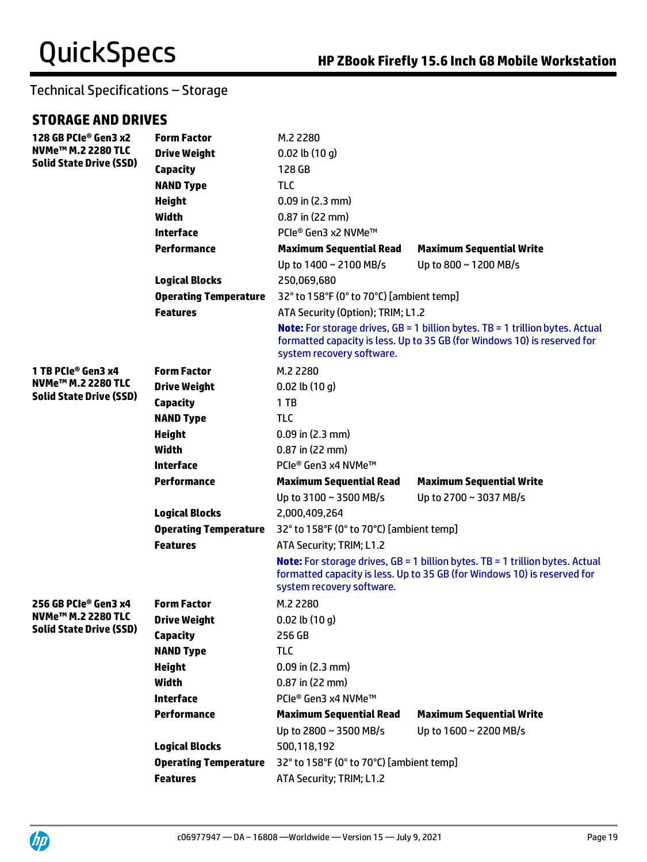# **STORAGE AND DRIVES**

| 128 GB PCIe® Gen3 x2           | <b>Form Factor</b>           | M.2 2280                                 |                                                                                                                                                                    |  |
|--------------------------------|------------------------------|------------------------------------------|--------------------------------------------------------------------------------------------------------------------------------------------------------------------|--|
| NVMe <sup>™</sup> M.2 2280 TLC | <b>Drive Weight</b>          | $0.02$ lb $(10q)$                        |                                                                                                                                                                    |  |
| <b>Solid State Drive (SSD)</b> | <b>Capacity</b>              | 128 GB                                   |                                                                                                                                                                    |  |
|                                | <b>NAND Type</b>             | <b>TLC</b>                               |                                                                                                                                                                    |  |
|                                | <b>Height</b>                | $0.09$ in $(2.3$ mm)                     |                                                                                                                                                                    |  |
|                                | Width                        | $0.87$ in (22 mm)                        |                                                                                                                                                                    |  |
|                                | <b>Interface</b>             | PCIe® Gen3 x2 NVMe™                      |                                                                                                                                                                    |  |
|                                | <b>Performance</b>           | <b>Maximum Sequential Read</b>           | <b>Maximum Sequential Write</b>                                                                                                                                    |  |
|                                |                              | Up to 1400 ~ 2100 MB/s                   | Up to 800 ~ 1200 MB/s                                                                                                                                              |  |
|                                | <b>Logical Blocks</b>        | 250,069,680                              |                                                                                                                                                                    |  |
|                                | <b>Operating Temperature</b> | 32° to 158°F (0° to 70°C) [ambient temp] |                                                                                                                                                                    |  |
|                                | <b>Features</b>              | ATA Security (Option); TRIM; L1.2        |                                                                                                                                                                    |  |
|                                |                              | system recovery software.                | <b>Note:</b> For storage drives, GB = 1 billion bytes. TB = 1 trillion bytes. Actual<br>formatted capacity is less. Up to 35 GB (for Windows 10) is reserved for   |  |
| 1 TB PCIe® Gen3 x4             | <b>Form Factor</b>           | M.2 2280                                 |                                                                                                                                                                    |  |
| NVMe <sup>™</sup> M.2 2280 TLC | <b>Drive Weight</b>          | $0.02$ lb $(10q)$                        |                                                                                                                                                                    |  |
| <b>Solid State Drive (SSD)</b> | <b>Capacity</b>              | $1$ TB                                   |                                                                                                                                                                    |  |
|                                | <b>NAND Type</b>             | <b>TLC</b>                               |                                                                                                                                                                    |  |
|                                | <b>Height</b>                | $0.09$ in (2.3 mm)                       |                                                                                                                                                                    |  |
|                                | <b>Width</b>                 | $0.87$ in (22 mm)                        |                                                                                                                                                                    |  |
|                                | <b>Interface</b>             | PCIe® Gen3 x4 NVMe™                      |                                                                                                                                                                    |  |
|                                | <b>Performance</b>           | <b>Maximum Sequential Read</b>           | <b>Maximum Sequential Write</b>                                                                                                                                    |  |
|                                |                              | Up to 3100 ~ 3500 MB/s                   | Up to 2700 ~ 3037 MB/s                                                                                                                                             |  |
|                                | <b>Logical Blocks</b>        | 2,000,409,264                            |                                                                                                                                                                    |  |
|                                | <b>Operating Temperature</b> | 32° to 158°F (0° to 70°C) [ambient temp] |                                                                                                                                                                    |  |
|                                | <b>Features</b>              | ATA Security; TRIM; L1.2                 |                                                                                                                                                                    |  |
|                                |                              | system recovery software.                | <b>Note:</b> For storage drives, $GB = 1$ billion bytes. TB = 1 trillion bytes. Actual<br>formatted capacity is less. Up to 35 GB (for Windows 10) is reserved for |  |
| 256 GB PCIe® Gen3 x4           | <b>Form Factor</b>           | M.2 2280                                 |                                                                                                                                                                    |  |
| NVMe <sup>™</sup> M.2 2280 TLC | <b>Drive Weight</b>          | $0.02$ lb $(10q)$                        |                                                                                                                                                                    |  |
| <b>Solid State Drive (SSD)</b> | <b>Capacity</b>              | 256 GB                                   |                                                                                                                                                                    |  |
|                                | <b>NAND Type</b>             | <b>TLC</b>                               |                                                                                                                                                                    |  |
|                                | <b>Height</b>                | $0.09$ in (2.3 mm)                       |                                                                                                                                                                    |  |
|                                | Width                        | $0.87$ in (22 mm)                        |                                                                                                                                                                    |  |
|                                | <b>Interface</b>             | PCIe® Gen3 x4 NVMe™                      |                                                                                                                                                                    |  |
|                                | <b>Performance</b>           | <b>Maximum Sequential Read</b>           | <b>Maximum Sequential Write</b>                                                                                                                                    |  |
|                                |                              | Up to 2800 ~ 3500 MB/s                   | Up to 1600 ~ 2200 MB/s                                                                                                                                             |  |
|                                | <b>Logical Blocks</b>        | 500,118,192                              |                                                                                                                                                                    |  |
|                                | <b>Operating Temperature</b> | 32° to 158°F (0° to 70°C) [ambient temp] |                                                                                                                                                                    |  |
|                                | <b>Features</b>              | ATA Security; TRIM; L1.2                 |                                                                                                                                                                    |  |

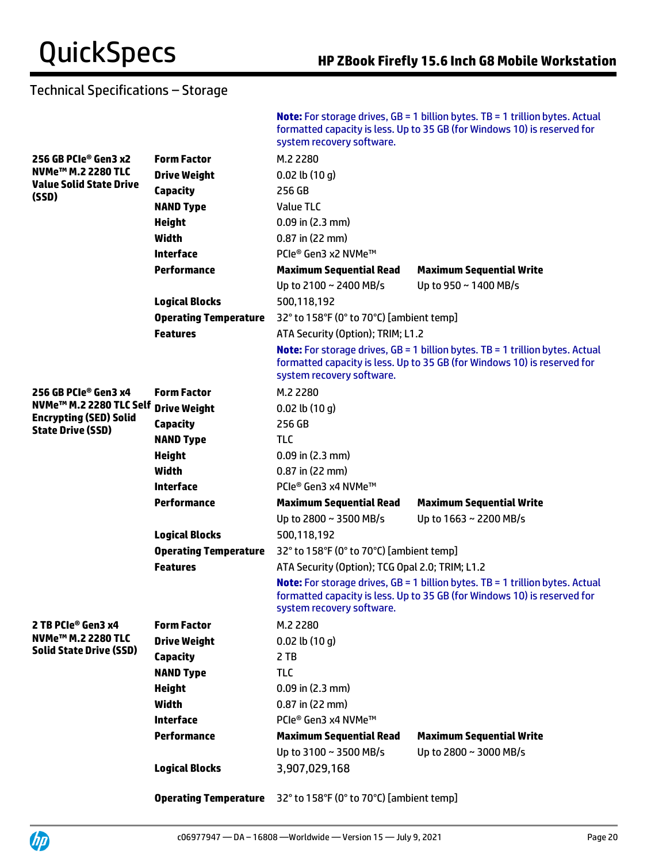|                                                                                                  |                              | system recovery software.                                             | <b>Note:</b> For storage drives, $GB = 1$ billion bytes. TB = 1 trillion bytes. Actual<br>formatted capacity is less. Up to 35 GB (for Windows 10) is reserved for |  |
|--------------------------------------------------------------------------------------------------|------------------------------|-----------------------------------------------------------------------|--------------------------------------------------------------------------------------------------------------------------------------------------------------------|--|
| 256 GB PCIe® Gen3 x2                                                                             | <b>Form Factor</b>           | M.2 2280                                                              |                                                                                                                                                                    |  |
| NVMe <sup>™</sup> M.2 2280 TLC                                                                   | <b>Drive Weight</b>          | $0.02$ lb $(10 g)$                                                    |                                                                                                                                                                    |  |
| <b>Value Solid State Drive</b><br>(SSD)                                                          | <b>Capacity</b>              | 256 GB                                                                |                                                                                                                                                                    |  |
|                                                                                                  | <b>NAND Type</b>             | <b>Value TLC</b>                                                      |                                                                                                                                                                    |  |
|                                                                                                  | <b>Height</b>                | $0.09$ in (2.3 mm)                                                    |                                                                                                                                                                    |  |
|                                                                                                  | Width                        | $0.87$ in (22 mm)                                                     |                                                                                                                                                                    |  |
|                                                                                                  | <b>Interface</b>             | PCIe® Gen3 x2 NVMe™                                                   |                                                                                                                                                                    |  |
|                                                                                                  | <b>Performance</b>           | <b>Maximum Sequential Read</b>                                        | <b>Maximum Sequential Write</b>                                                                                                                                    |  |
|                                                                                                  |                              | Up to 2100 ~ 2400 MB/s                                                | Up to 950 ~ 1400 MB/s                                                                                                                                              |  |
|                                                                                                  | <b>Logical Blocks</b>        | 500,118,192                                                           |                                                                                                                                                                    |  |
|                                                                                                  | <b>Operating Temperature</b> | 32° to 158°F (0° to 70°C) [ambient temp]                              |                                                                                                                                                                    |  |
|                                                                                                  | <b>Features</b>              | ATA Security (Option); TRIM; L1.2                                     |                                                                                                                                                                    |  |
|                                                                                                  |                              | system recovery software.                                             | <b>Note:</b> For storage drives, $GB = 1$ billion bytes. TB = 1 trillion bytes. Actual<br>formatted capacity is less. Up to 35 GB (for Windows 10) is reserved for |  |
| 256 GB PCIe® Gen3 x4                                                                             | <b>Form Factor</b>           | M.2 2280                                                              |                                                                                                                                                                    |  |
| NVMe <sup>™</sup> M.2 2280 TLC Self<br><b>Encrypting (SED) Solid</b><br><b>State Drive (SSD)</b> | <b>Drive Weight</b>          | $0.02$ lb $(10 g)$                                                    |                                                                                                                                                                    |  |
|                                                                                                  | <b>Capacity</b>              | 256 GB                                                                |                                                                                                                                                                    |  |
|                                                                                                  | <b>NAND Type</b>             | <b>TLC</b>                                                            |                                                                                                                                                                    |  |
|                                                                                                  | <b>Height</b>                | $0.09$ in (2.3 mm)                                                    |                                                                                                                                                                    |  |
|                                                                                                  | Width                        | $0.87$ in (22 mm)                                                     |                                                                                                                                                                    |  |
|                                                                                                  | <b>Interface</b>             | PCIe® Gen3 x4 NVMe™                                                   |                                                                                                                                                                    |  |
|                                                                                                  | <b>Performance</b>           | <b>Maximum Sequential Read</b>                                        | <b>Maximum Sequential Write</b>                                                                                                                                    |  |
|                                                                                                  |                              | Up to 2800 ~ 3500 MB/s                                                | Up to 1663 ~ 2200 MB/s                                                                                                                                             |  |
|                                                                                                  | <b>Logical Blocks</b>        | 500,118,192                                                           |                                                                                                                                                                    |  |
|                                                                                                  | <b>Operating Temperature</b> | 32° to 158°F (0° to 70°C) [ambient temp]                              |                                                                                                                                                                    |  |
|                                                                                                  | <b>Features</b>              | ATA Security (Option); TCG Opal 2.0; TRIM; L1.2                       |                                                                                                                                                                    |  |
|                                                                                                  |                              | system recovery software.                                             | <b>Note:</b> For storage drives, $GB = 1$ billion bytes. TB = 1 trillion bytes. Actual<br>formatted capacity is less. Up to 35 GB (for Windows 10) is reserved for |  |
| 2 TB PCIe <sup>®</sup> Gen3 x4                                                                   | <b>Form Factor</b>           | M.2 2280                                                              |                                                                                                                                                                    |  |
| NVMe <sup>™</sup> M.2 2280 TLC                                                                   | <b>Drive Weight</b>          | $0.02$ lb $(10q)$                                                     |                                                                                                                                                                    |  |
| <b>Solid State Drive (SSD)</b>                                                                   | <b>Capacity</b>              | 2 TB                                                                  |                                                                                                                                                                    |  |
|                                                                                                  | <b>NAND Type</b>             | TLC                                                                   |                                                                                                                                                                    |  |
|                                                                                                  | <b>Height</b>                | $0.09$ in (2.3 mm)                                                    |                                                                                                                                                                    |  |
|                                                                                                  | Width                        | $0.87$ in (22 mm)                                                     |                                                                                                                                                                    |  |
|                                                                                                  | <b>Interface</b>             | PCIe® Gen3 x4 NVMe™                                                   |                                                                                                                                                                    |  |
|                                                                                                  | <b>Performance</b>           | <b>Maximum Sequential Read</b>                                        | <b>Maximum Sequential Write</b>                                                                                                                                    |  |
|                                                                                                  |                              | Up to 3100 ~ 3500 MB/s                                                | Up to 2800 ~ 3000 MB/s                                                                                                                                             |  |
|                                                                                                  | <b>Logical Blocks</b>        | 3,907,029,168                                                         |                                                                                                                                                                    |  |
|                                                                                                  |                              | <b>Operating Temperature</b> 32° to 158°F (0° to 70°C) [ambient temp] |                                                                                                                                                                    |  |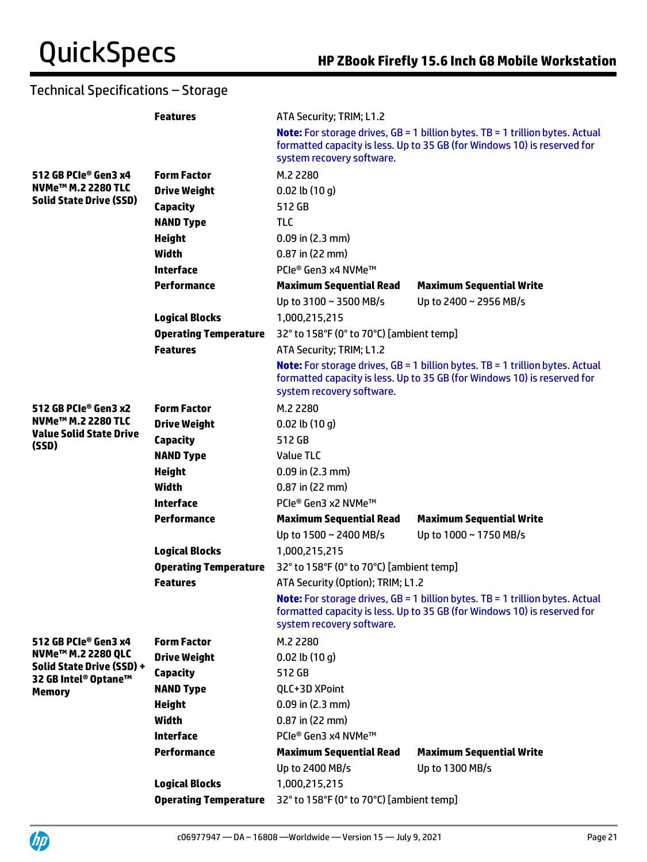|                                                                           | <b>Features</b>              | ATA Security; TRIM; L1.2                 |                                                                                                                                                                  |  |
|---------------------------------------------------------------------------|------------------------------|------------------------------------------|------------------------------------------------------------------------------------------------------------------------------------------------------------------|--|
|                                                                           |                              | system recovery software.                | <b>Note:</b> For storage drives, GB = 1 billion bytes. TB = 1 trillion bytes. Actual<br>formatted capacity is less. Up to 35 GB (for Windows 10) is reserved for |  |
| 512 GB PCIe® Gen3 x4                                                      | <b>Form Factor</b>           | M.2 2280                                 |                                                                                                                                                                  |  |
| NVMe <sup>™</sup> M.2 2280 TLC                                            | <b>Drive Weight</b>          | $0.02$ lb $(10q)$                        |                                                                                                                                                                  |  |
| <b>Solid State Drive (SSD)</b>                                            | Capacity                     | 512 GB                                   |                                                                                                                                                                  |  |
|                                                                           | <b>NAND Type</b>             | <b>TLC</b>                               |                                                                                                                                                                  |  |
|                                                                           | <b>Height</b>                | $0.09$ in (2.3 mm)                       |                                                                                                                                                                  |  |
|                                                                           | Width                        | $0.87$ in (22 mm)                        |                                                                                                                                                                  |  |
|                                                                           | <b>Interface</b>             | PCIe® Gen3 x4 NVMe™                      |                                                                                                                                                                  |  |
|                                                                           | Performance                  | <b>Maximum Sequential Read</b>           | <b>Maximum Sequential Write</b>                                                                                                                                  |  |
|                                                                           |                              | Up to 3100 ~ 3500 MB/s                   | Up to 2400 ~ 2956 MB/s                                                                                                                                           |  |
|                                                                           | <b>Logical Blocks</b>        | 1,000,215,215                            |                                                                                                                                                                  |  |
|                                                                           | <b>Operating Temperature</b> | 32° to 158°F (0° to 70°C) [ambient temp] |                                                                                                                                                                  |  |
|                                                                           | <b>Features</b>              | ATA Security; TRIM; L1.2                 |                                                                                                                                                                  |  |
|                                                                           |                              | system recovery software.                | <b>Note:</b> For storage drives, GB = 1 billion bytes. TB = 1 trillion bytes. Actual<br>formatted capacity is less. Up to 35 GB (for Windows 10) is reserved for |  |
| 512 GB PCIe® Gen3 x2                                                      | <b>Form Factor</b>           | M.2 2280                                 |                                                                                                                                                                  |  |
| NVMe <sup>™</sup> M.2 2280 TLC<br><b>Value Solid State Drive</b><br>(SSD) | <b>Drive Weight</b>          | $0.02$ lb $(10q)$                        |                                                                                                                                                                  |  |
|                                                                           | <b>Capacity</b>              | 512 GB                                   |                                                                                                                                                                  |  |
|                                                                           | <b>NAND Type</b>             | Value TLC                                |                                                                                                                                                                  |  |
|                                                                           | <b>Height</b>                | $0.09$ in (2.3 mm)                       |                                                                                                                                                                  |  |
|                                                                           | Width                        | $0.87$ in (22 mm)                        |                                                                                                                                                                  |  |
|                                                                           | <b>Interface</b>             | PCIe® Gen3 x2 NVMe™                      |                                                                                                                                                                  |  |
|                                                                           | <b>Performance</b>           | <b>Maximum Sequential Read</b>           | <b>Maximum Sequential Write</b>                                                                                                                                  |  |
|                                                                           |                              | Up to 1500 ~ 2400 MB/s                   | Up to 1000 ~ 1750 MB/s                                                                                                                                           |  |
|                                                                           | <b>Logical Blocks</b>        | 1,000,215,215                            |                                                                                                                                                                  |  |
|                                                                           | <b>Operating Temperature</b> | 32° to 158°F (0° to 70°C) [ambient temp] |                                                                                                                                                                  |  |
|                                                                           | <b>Features</b>              | ATA Security (Option); TRIM; L1.2        |                                                                                                                                                                  |  |
|                                                                           |                              | system recovery software.                | <b>Note:</b> For storage drives, GB = 1 billion bytes. TB = 1 trillion bytes. Actual<br>formatted capacity is less. Up to 35 GB (for Windows 10) is reserved for |  |
| 512 GB PCIe® Gen3 x4                                                      | <b>Form Factor</b>           | M.2 2280                                 |                                                                                                                                                                  |  |
| NVMe <sup>™</sup> M.2 2280 QLC                                            | <b>Drive Weight</b>          | $0.02$ lb $(10q)$                        |                                                                                                                                                                  |  |
| Solid State Drive (SSD) +                                                 | <b>Capacity</b>              | 512 GB                                   |                                                                                                                                                                  |  |
| 32 GB Intel® Optane™<br><b>Memory</b>                                     | <b>NAND Type</b>             | QLC+3D XPoint                            |                                                                                                                                                                  |  |
|                                                                           | <b>Height</b>                | $0.09$ in (2.3 mm)                       |                                                                                                                                                                  |  |
|                                                                           | <b>Width</b>                 | $0.87$ in (22 mm)                        |                                                                                                                                                                  |  |
|                                                                           | <b>Interface</b>             | PCIe® Gen3 x4 NVMe™                      |                                                                                                                                                                  |  |
|                                                                           | <b>Performance</b>           | <b>Maximum Sequential Read</b>           | <b>Maximum Sequential Write</b>                                                                                                                                  |  |
|                                                                           |                              | Up to 2400 MB/s                          | Up to 1300 MB/s                                                                                                                                                  |  |
|                                                                           | <b>Logical Blocks</b>        | 1,000,215,215                            |                                                                                                                                                                  |  |
|                                                                           | <b>Operating Temperature</b> | 32° to 158°F (0° to 70°C) [ambient temp] |                                                                                                                                                                  |  |

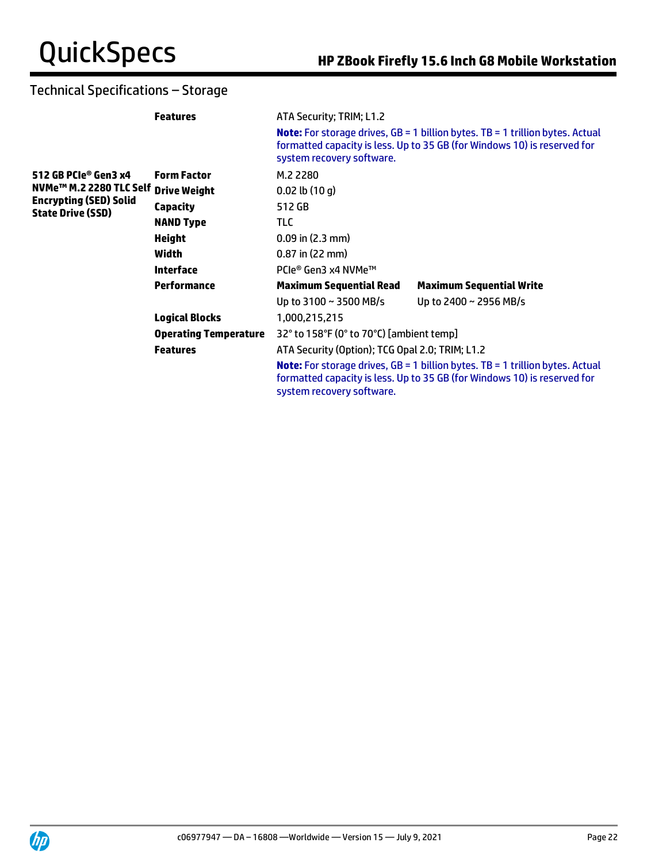|                                                           | <b>Features</b>              | ATA Security; TRIM; L1.2                        |                                                                                                                                                                  |
|-----------------------------------------------------------|------------------------------|-------------------------------------------------|------------------------------------------------------------------------------------------------------------------------------------------------------------------|
|                                                           |                              | system recovery software.                       | <b>Note:</b> For storage drives, GB = 1 billion bytes. TB = 1 trillion bytes. Actual<br>formatted capacity is less. Up to 35 GB (for Windows 10) is reserved for |
| 512 GB PCIe® Gen3 x4                                      | <b>Form Factor</b>           | M.2 2280                                        |                                                                                                                                                                  |
| NVMe <sup>™</sup> M.2 2280 TLC Self Drive Weight          |                              | $0.02$ lb $(10q)$                               |                                                                                                                                                                  |
| <b>Encrypting (SED) Solid</b><br><b>State Drive (SSD)</b> | <b>Capacity</b>              | 512 GB                                          |                                                                                                                                                                  |
|                                                           | <b>NAND Type</b>             | TLC                                             |                                                                                                                                                                  |
|                                                           | <b>Height</b>                | $0.09$ in (2.3 mm)                              |                                                                                                                                                                  |
|                                                           | Width                        | $0.87$ in (22 mm)                               |                                                                                                                                                                  |
|                                                           | <b>Interface</b>             | PCle® Gen3 x4 NVMe™                             |                                                                                                                                                                  |
|                                                           | Performance                  | <b>Maximum Sequential Read</b>                  | <b>Maximum Sequential Write</b>                                                                                                                                  |
|                                                           |                              | Up to $3100 \sim 3500$ MB/s                     | Up to 2400 ~ 2956 MB/s                                                                                                                                           |
|                                                           | <b>Logical Blocks</b>        | 1,000,215,215                                   |                                                                                                                                                                  |
|                                                           | <b>Operating Temperature</b> | 32° to 158°F (0° to 70°C) [ambient temp]        |                                                                                                                                                                  |
|                                                           | <b>Features</b>              | ATA Security (Option); TCG Opal 2.0; TRIM; L1.2 |                                                                                                                                                                  |
|                                                           |                              | system recovery software.                       | <b>Note:</b> For storage drives, GB = 1 billion bytes. TB = 1 trillion bytes. Actual<br>formatted capacity is less. Up to 35 GB (for Windows 10) is reserved for |
|                                                           |                              |                                                 |                                                                                                                                                                  |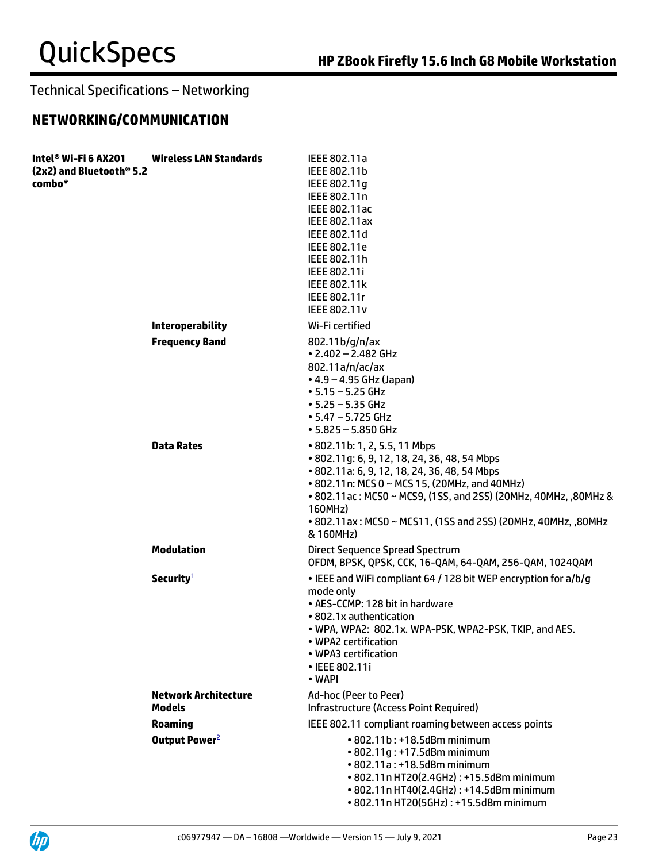# **NETWORKING/COMMUNICATION**

| Intel® Wi-Fi 6 AX201<br>(2x2) and Bluetooth® 5.2<br>combo* | <b>Wireless LAN Standards</b>                | IEEE 802.11a<br>IEEE 802.11b<br>IEEE 802.11g<br>IEEE 802.11n<br>IEEE 802.11ac<br>IEEE 802.11ax<br>IEEE 802.11d<br>IEEE 802.11e<br>IEEE 802.11h<br>IEEE 802.11i<br><b>IEEE 802.11k</b><br>IEEE 802.11r<br><b>IEEE 802.11v</b>                                                                                                                |
|------------------------------------------------------------|----------------------------------------------|---------------------------------------------------------------------------------------------------------------------------------------------------------------------------------------------------------------------------------------------------------------------------------------------------------------------------------------------|
|                                                            | <b>Interoperability</b>                      | Wi-Fi certified                                                                                                                                                                                                                                                                                                                             |
|                                                            | <b>Frequency Band</b>                        | 802.11b/g/n/ax<br>$\cdot$ 2.402 - 2.482 GHz<br>802.11a/n/ac/ax<br>$\bullet$ 4.9 – 4.95 GHz (Japan)<br>$\cdot$ 5.15 – 5.25 GHz<br>$\cdot$ 5.25 – 5.35 GHz<br>$\cdot$ 5.47 – 5.725 GHz<br>$• 5.825 - 5.850$ GHz                                                                                                                               |
|                                                            | <b>Data Rates</b>                            | • 802.11b: 1, 2, 5.5, 11 Mbps<br>• 802.11g: 6, 9, 12, 18, 24, 36, 48, 54 Mbps<br>• 802.11a: 6, 9, 12, 18, 24, 36, 48, 54 Mbps<br>• 802.11n: MCS 0 ~ MCS 15, (20MHz, and 40MHz)<br>• 802.11 ac: MCS0 ~ MCS9, (1SS, and 2SS) (20MHz, 40MHz, ,80MHz &<br>160MHz)<br>• 802.11ax: MCS0 ~ MCS11, (1SS and 2SS) (20MHz, 40MHz, ,80MHz<br>& 160MHz) |
|                                                            | <b>Modulation</b>                            | Direct Sequence Spread Spectrum<br>OFDM, BPSK, QPSK, CCK, 16-QAM, 64-QAM, 256-QAM, 1024QAM                                                                                                                                                                                                                                                  |
|                                                            | Security <sup>1</sup>                        | • IEEE and WiFi compliant 64 / 128 bit WEP encryption for a/b/g<br>mode only<br>• AES-CCMP: 128 bit in hardware<br>• 802.1x authentication<br>• WPA, WPA2: 802.1x. WPA-PSK, WPA2-PSK, TKIP, and AES.<br>• WPA2 certification<br>• WPA3 certification<br>• IEEE 802.11i<br>• WAPI                                                            |
|                                                            | <b>Network Architecture</b><br><b>Models</b> | Ad-hoc (Peer to Peer)<br>Infrastructure (Access Point Required)                                                                                                                                                                                                                                                                             |
|                                                            | <b>Roaming</b>                               | IEEE 802.11 compliant roaming between access points                                                                                                                                                                                                                                                                                         |
|                                                            | Output Power <sup>2</sup>                    | • 802.11b: +18.5dBm minimum<br>• 802.11q: +17.5dBm minimum<br>• 802.11a: +18.5dBm minimum<br>• 802.11n HT20(2.4GHz): +15.5dBm minimum<br>• 802.11n HT40(2.4GHz): +14.5dBm minimum<br>• 802.11n HT20(5GHz): +15.5dBm minimum                                                                                                                 |

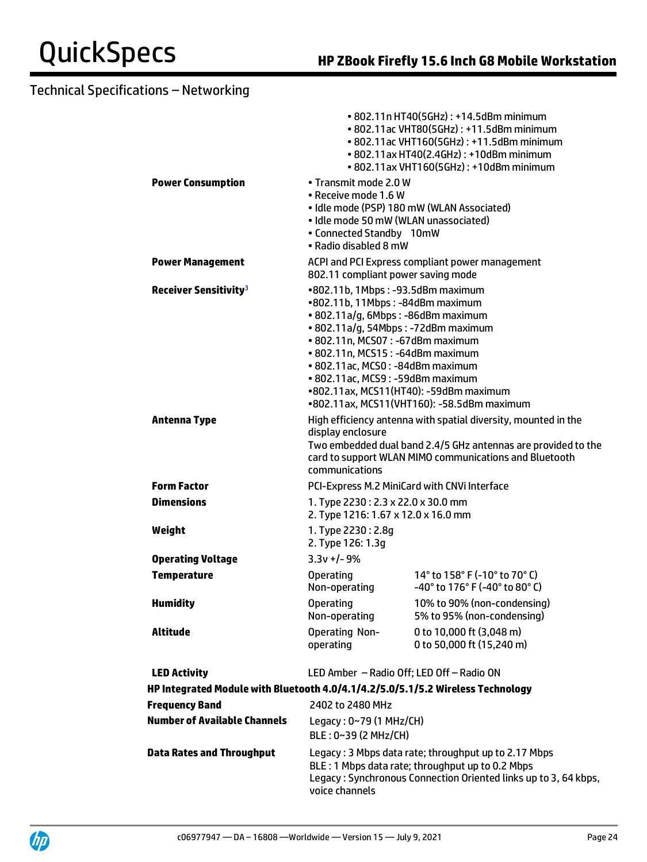|                                                                                 |                                                                                                                                                                                                                                                                                                    | • 802.11n HT40(5GHz): +14.5dBm minimum<br>• 802.11ac VHT80(5GHz): +11.5dBm minimum<br>• 802.11ac VHT160(5GHz): +11.5dBm minimum<br>• 802.11ax HT40(2.4GHz): +10dBm minimum<br>• 802.11ax VHT160(5GHz): +10dBm minimum |
|---------------------------------------------------------------------------------|----------------------------------------------------------------------------------------------------------------------------------------------------------------------------------------------------------------------------------------------------------------------------------------------------|-----------------------------------------------------------------------------------------------------------------------------------------------------------------------------------------------------------------------|
| <b>Power Consumption</b>                                                        | • Transmit mode 2.0 W<br>• Receive mode 1.6 W<br>• Idle mode 50 mW (WLAN unassociated)<br>• Connected Standby 10mW<br>• Radio disabled 8 mW                                                                                                                                                        | · Idle mode (PSP) 180 mW (WLAN Associated)                                                                                                                                                                            |
| <b>Power Management</b>                                                         | 802.11 compliant power saving mode                                                                                                                                                                                                                                                                 | ACPI and PCI Express compliant power management                                                                                                                                                                       |
| Receiver Sensitivity <sup>3</sup>                                               | •802.11b, 1Mbps: -93.5dBm maximum<br>•802.11b, 11Mbps: -84dBm maximum<br>• 802.11a/g, 6Mbps: -86dBm maximum<br>· 802.11a/g, 54Mbps: -72dBm maximum<br>• 802.11n, MCS07: -67dBm maximum<br>• 802.11n, MCS15: -64dBm maximum<br>• 802.11ac, MCS0: -84dBm maximum<br>• 802.11ac, MCS9: -59dBm maximum | •802.11ax, MCS11(HT40): -59dBm maximum<br>•802.11ax, MCS11(VHT160): -58.5dBm maximum                                                                                                                                  |
| <b>Antenna Type</b>                                                             | display enclosure<br>communications                                                                                                                                                                                                                                                                | High efficiency antenna with spatial diversity, mounted in the<br>Two embedded dual band 2.4/5 GHz antennas are provided to the<br>card to support WLAN MIMO communications and Bluetooth                             |
| <b>Form Factor</b>                                                              |                                                                                                                                                                                                                                                                                                    | PCI-Express M.2 MiniCard with CNVi Interface                                                                                                                                                                          |
| <b>Dimensions</b>                                                               | 1. Type 2230: 2.3 x 22.0 x 30.0 mm<br>2. Type 1216: 1.67 x 12.0 x 16.0 mm                                                                                                                                                                                                                          |                                                                                                                                                                                                                       |
| Weight                                                                          | 1. Type 2230: 2.8g<br>2. Type 126: 1.3g                                                                                                                                                                                                                                                            |                                                                                                                                                                                                                       |
| <b>Operating Voltage</b>                                                        | $3.3v +/- 9%$                                                                                                                                                                                                                                                                                      |                                                                                                                                                                                                                       |
| <b>Temperature</b>                                                              | <b>Operating</b><br>Non-operating                                                                                                                                                                                                                                                                  | 14° to 158° F (-10° to 70° C)<br>$-40^{\circ}$ to 176 $^{\circ}$ F (-40 $^{\circ}$ to 80 $^{\circ}$ C)                                                                                                                |
| <b>Humidity</b>                                                                 | <b>Operating</b><br>Non-operating                                                                                                                                                                                                                                                                  | 10% to 90% (non-condensing)<br>5% to 95% (non-condensing)                                                                                                                                                             |
| Altitude                                                                        | <b>Operating Non-</b><br>operating                                                                                                                                                                                                                                                                 | 0 to 10,000 ft (3,048 m)<br>0 to 50,000 ft (15,240 m)                                                                                                                                                                 |
| <b>LED Activity</b>                                                             | LED Amber - Radio Off; LED Off - Radio ON                                                                                                                                                                                                                                                          |                                                                                                                                                                                                                       |
| HP Integrated Module with Bluetooth 4.0/4.1/4.2/5.0/5.1/5.2 Wireless Technology |                                                                                                                                                                                                                                                                                                    |                                                                                                                                                                                                                       |
| <b>Frequency Band</b>                                                           | 2402 to 2480 MHz                                                                                                                                                                                                                                                                                   |                                                                                                                                                                                                                       |
| <b>Number of Available Channels</b>                                             | Legacy: $0~79$ (1 MHz/CH)<br>BLE: 0~39 (2 MHz/CH)                                                                                                                                                                                                                                                  |                                                                                                                                                                                                                       |
| <b>Data Rates and Throughput</b>                                                | voice channels                                                                                                                                                                                                                                                                                     | Legacy: 3 Mbps data rate; throughput up to 2.17 Mbps<br>BLE : 1 Mbps data rate; throughput up to 0.2 Mbps<br>Legacy: Synchronous Connection Oriented links up to 3, 64 kbps,                                          |

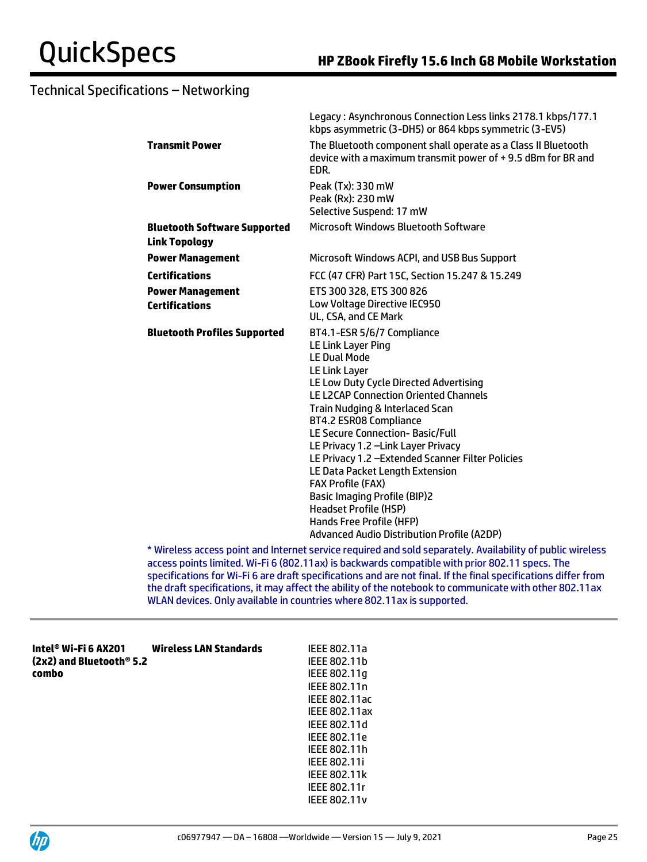|                                                             | Legacy: Asynchronous Connection Less links 2178.1 kbps/177.1<br>kbps asymmetric (3-DH5) or 864 kbps symmetric (3-EV5)                                                                                                                                                                                                                                                                                                                                                                                                                                                                                               |
|-------------------------------------------------------------|---------------------------------------------------------------------------------------------------------------------------------------------------------------------------------------------------------------------------------------------------------------------------------------------------------------------------------------------------------------------------------------------------------------------------------------------------------------------------------------------------------------------------------------------------------------------------------------------------------------------|
| <b>Transmit Power</b>                                       | The Bluetooth component shall operate as a Class II Bluetooth<br>device with a maximum transmit power of +9.5 dBm for BR and<br>EDR.                                                                                                                                                                                                                                                                                                                                                                                                                                                                                |
| <b>Power Consumption</b>                                    | Peak (Tx): 330 mW<br>Peak (Rx): 230 mW<br>Selective Suspend: 17 mW                                                                                                                                                                                                                                                                                                                                                                                                                                                                                                                                                  |
| <b>Bluetooth Software Supported</b><br><b>Link Topology</b> | Microsoft Windows Bluetooth Software                                                                                                                                                                                                                                                                                                                                                                                                                                                                                                                                                                                |
| <b>Power Management</b>                                     | Microsoft Windows ACPI, and USB Bus Support                                                                                                                                                                                                                                                                                                                                                                                                                                                                                                                                                                         |
| <b>Certifications</b>                                       | FCC (47 CFR) Part 15C, Section 15.247 & 15.249                                                                                                                                                                                                                                                                                                                                                                                                                                                                                                                                                                      |
| <b>Power Management</b>                                     | ETS 300 328, ETS 300 826                                                                                                                                                                                                                                                                                                                                                                                                                                                                                                                                                                                            |
| <b>Certifications</b>                                       | Low Voltage Directive IEC950<br>UL, CSA, and CE Mark                                                                                                                                                                                                                                                                                                                                                                                                                                                                                                                                                                |
| <b>Bluetooth Profiles Supported</b>                         | BT4.1-ESR 5/6/7 Compliance<br><b>LE Link Layer Ping</b><br><b>LE Dual Mode</b><br><b>LE Link Layer</b><br>LE Low Duty Cycle Directed Advertising<br><b>LE L2CAP Connection Oriented Channels</b><br>Train Nudging & Interlaced Scan<br>BT4.2 ESR08 Compliance<br>LE Secure Connection-Basic/Full<br>LE Privacy 1.2 - Link Layer Privacy<br>LE Privacy 1.2 - Extended Scanner Filter Policies<br>LE Data Packet Length Extension<br><b>FAX Profile (FAX)</b><br><b>Basic Imaging Profile (BIP)2</b><br><b>Headset Profile (HSP)</b><br>Hands Free Profile (HFP)<br><b>Advanced Audio Distribution Profile (A2DP)</b> |

\* Wireless access point and Internet service required and sold separately. Availability of public wireless access points limited. Wi-Fi 6 (802.11ax) is backwards compatible with prior 802.11 specs. The specifications for Wi-Fi 6 are draft specifications and are not final. If the final specifications differ from the draft specifications, it may affect the ability of the notebook to communicate with other 802.11ax WLAN devices. Only available in countries where 802.11ax is supported.

| Intel® Wi-Fi 6 AX201<br>(2x2) and Bluetooth® 5.2 | <b>Wireless LAN Standards</b> | IEEE 802.11a<br>IEEE 802.11b |
|--------------------------------------------------|-------------------------------|------------------------------|
| combo                                            |                               | IEEE 802.11q                 |
|                                                  |                               | IEEE 802.11n                 |
|                                                  |                               | IEEE 802.11ac                |
|                                                  |                               | <b>IEEE 802.11ax</b>         |
|                                                  |                               | IEEE 802.11d                 |
|                                                  |                               | IEEE 802.11e                 |
|                                                  |                               | IEEE 802.11h                 |
|                                                  |                               | <b>IEEE 802.11i</b>          |
|                                                  |                               | <b>IEEE 802.11k</b>          |
|                                                  |                               | <b>IEEE 802.11r</b>          |



IEEE 802.11v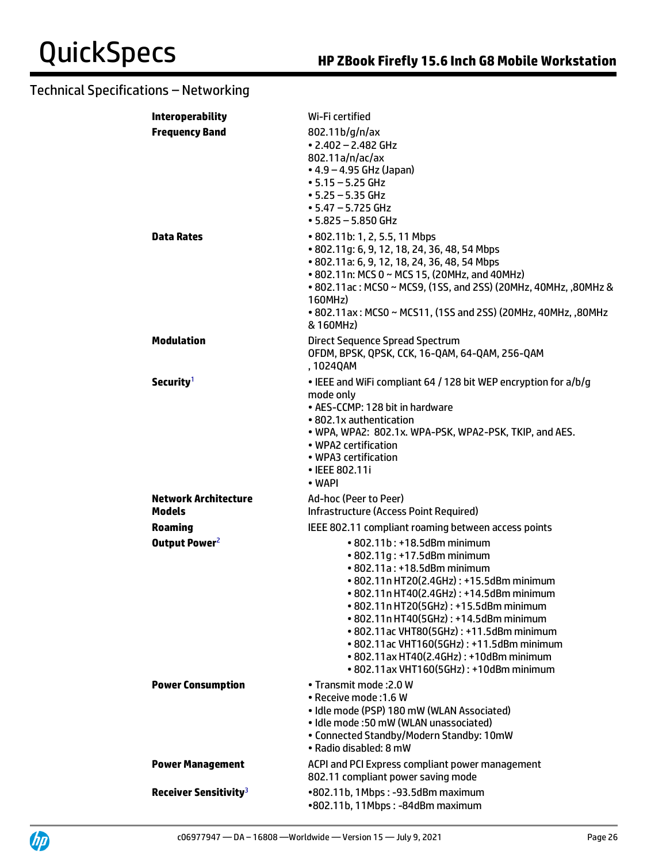| <b>Interoperability</b>             | Wi-Fi certified                                                                                                                                                                                                                                                                                                                                                                                                                                        |
|-------------------------------------|--------------------------------------------------------------------------------------------------------------------------------------------------------------------------------------------------------------------------------------------------------------------------------------------------------------------------------------------------------------------------------------------------------------------------------------------------------|
| <b>Frequency Band</b><br>Data Rates | 802.11b/g/n/ax<br>$\cdot$ 2.402 - 2.482 GHz<br>802.11a/n/ac/ax<br>• 4.9 – 4.95 GHz (Japan)<br>$-5.15 - 5.25$ GHz<br>$\cdot$ 5.25 – 5.35 GHz<br>$\cdot$ 5.47 – 5.725 GHz<br>$• 5.825 - 5.850$ GHz<br>• 802.11b: 1, 2, 5.5, 11 Mbps                                                                                                                                                                                                                      |
|                                     | • 802.11q: 6, 9, 12, 18, 24, 36, 48, 54 Mbps<br>• 802.11a: 6, 9, 12, 18, 24, 36, 48, 54 Mbps<br>• 802.11n: MCS 0 ~ MCS 15, (20MHz, and 40MHz)<br>• 802.11 ac: MCS0 ~ MCS9, (1SS, and 2SS) (20MHz, 40MHz, ,80MHz &<br>160MHz)<br>• 802.11ax: MCS0 ~ MCS11, (1SS and 2SS) (20MHz, 40MHz, ,80MHz<br>& 160MHz)                                                                                                                                             |
| <b>Modulation</b>                   | Direct Sequence Spread Spectrum<br>OFDM, BPSK, QPSK, CCK, 16-QAM, 64-QAM, 256-QAM<br>, 1024QAM                                                                                                                                                                                                                                                                                                                                                         |
| Security <sup>1</sup>               | • IEEE and WiFi compliant 64 / 128 bit WEP encryption for a/b/g<br>mode only<br>• AES-CCMP: 128 bit in hardware<br>• 802.1x authentication<br>• WPA, WPA2: 802.1x. WPA-PSK, WPA2-PSK, TKIP, and AES.<br>• WPA2 certification<br>• WPA3 certification<br>• IEEE 802.11i<br>• WAPI                                                                                                                                                                       |
| <b>Network Architecture</b>         | Ad-hoc (Peer to Peer)                                                                                                                                                                                                                                                                                                                                                                                                                                  |
| Models                              | Infrastructure (Access Point Required)                                                                                                                                                                                                                                                                                                                                                                                                                 |
| Roaming                             | IEEE 802.11 compliant roaming between access points                                                                                                                                                                                                                                                                                                                                                                                                    |
| Output Power <sup>2</sup>           | • 802.11b: +18.5dBm minimum<br>• 802.11g: +17.5dBm minimum<br>• 802.11a: +18.5dBm minimum<br>• 802.11n HT20(2.4GHz): +15.5dBm minimum<br>• 802.11n HT40(2.4GHz): +14.5dBm minimum<br>• 802.11n HT20(5GHz): +15.5dBm minimum<br>• 802.11n HT40(5GHz): +14.5dBm minimum<br>• 802.11 ac VHT80(5GHz): +11.5dBm minimum<br>• 802.11ac VHT160(5GHz): +11.5dBm minimum<br>• 802.11 ax HT40(2.4GHz): +10dBm minimum<br>• 802.11ax VHT160(5GHz): +10dBm minimum |
| <b>Power Consumption</b>            | • Transmit mode: 2.0 W<br>· Receive mode: 1.6 W<br>· Idle mode (PSP) 180 mW (WLAN Associated)<br>• Idle mode: 50 mW (WLAN unassociated)<br>• Connected Standby/Modern Standby: 10mW<br>· Radio disabled: 8 mW                                                                                                                                                                                                                                          |
| <b>Power Management</b>             | ACPI and PCI Express compliant power management<br>802.11 compliant power saving mode                                                                                                                                                                                                                                                                                                                                                                  |
| Receiver Sensitivity <sup>3</sup>   | •802.11b, 1Mbps: -93.5dBm maximum<br>•802.11b, 11Mbps: -84dBm maximum                                                                                                                                                                                                                                                                                                                                                                                  |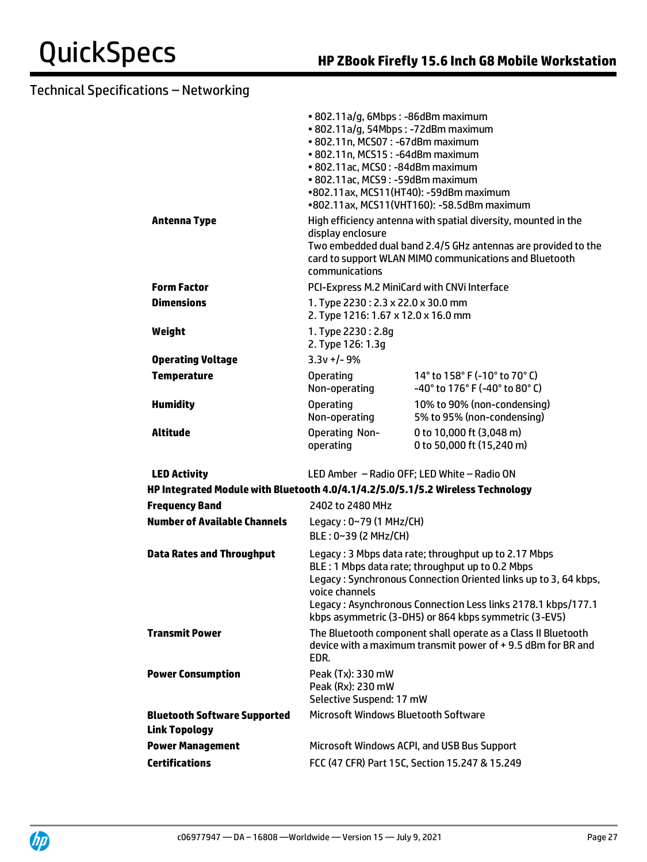| <b>Antenna Type</b>                                                             | • 802.11a/g, 6Mbps : -86dBm maximum<br>· 802.11a/g, 54Mbps: -72dBm maximum<br>• 802.11n, MCS07: -67dBm maximum<br>• 802.11n, MCS15: -64dBm maximum<br>• 802.11ac, MCS0: -84dBm maximum<br>• 802.11ac, MCS9: -59dBm maximum<br>•802.11ax, MCS11(HT40): -59dBm maximum<br>•802.11ax, MCS11(VHT160): -58.5dBm maximum<br>High efficiency antenna with spatial diversity, mounted in the |                                                                                                                         |  |
|---------------------------------------------------------------------------------|--------------------------------------------------------------------------------------------------------------------------------------------------------------------------------------------------------------------------------------------------------------------------------------------------------------------------------------------------------------------------------------|-------------------------------------------------------------------------------------------------------------------------|--|
|                                                                                 | display enclosure<br>communications                                                                                                                                                                                                                                                                                                                                                  | Two embedded dual band 2.4/5 GHz antennas are provided to the<br>card to support WLAN MIMO communications and Bluetooth |  |
| <b>Form Factor</b>                                                              | PCI-Express M.2 MiniCard with CNVi Interface                                                                                                                                                                                                                                                                                                                                         |                                                                                                                         |  |
| <b>Dimensions</b>                                                               | 1. Type 2230: 2.3 x 22.0 x 30.0 mm<br>2. Type 1216: 1.67 x 12.0 x 16.0 mm                                                                                                                                                                                                                                                                                                            |                                                                                                                         |  |
| Weight                                                                          | 1. Type 2230: 2.8g<br>2. Type 126: 1.3g                                                                                                                                                                                                                                                                                                                                              |                                                                                                                         |  |
| <b>Operating Voltage</b>                                                        | $3.3v + 1 - 9%$                                                                                                                                                                                                                                                                                                                                                                      |                                                                                                                         |  |
| <b>Temperature</b>                                                              | <b>Operating</b><br>Non-operating                                                                                                                                                                                                                                                                                                                                                    | 14° to 158° F (-10° to 70° C)<br>-40° to 176° F (-40° to 80° C)                                                         |  |
| <b>Humidity</b>                                                                 | <b>Operating</b><br>Non-operating                                                                                                                                                                                                                                                                                                                                                    | 10% to 90% (non-condensing)<br>5% to 95% (non-condensing)                                                               |  |
| Altitude                                                                        | <b>Operating Non-</b><br>operating                                                                                                                                                                                                                                                                                                                                                   | 0 to 10,000 ft (3,048 m)<br>0 to 50,000 ft (15,240 m)                                                                   |  |
| <b>LED Activity</b>                                                             |                                                                                                                                                                                                                                                                                                                                                                                      | LED Amber - Radio OFF; LED White - Radio ON                                                                             |  |
| HP Integrated Module with Bluetooth 4.0/4.1/4.2/5.0/5.1/5.2 Wireless Technology |                                                                                                                                                                                                                                                                                                                                                                                      |                                                                                                                         |  |
| <b>Frequency Band</b>                                                           | 2402 to 2480 MHz                                                                                                                                                                                                                                                                                                                                                                     |                                                                                                                         |  |
| <b>Number of Available Channels</b>                                             | Legacy: 0~79 (1 MHz/CH)<br>$BLE: 0~39$ (2 MHz/CH)                                                                                                                                                                                                                                                                                                                                    |                                                                                                                         |  |
| <b>Data Rates and Throughput</b>                                                | Legacy: 3 Mbps data rate; throughput up to 2.17 Mbps<br>BLE: 1 Mbps data rate; throughput up to 0.2 Mbps<br>Legacy: Synchronous Connection Oriented links up to 3, 64 kbps,<br>voice channels<br>Legacy: Asynchronous Connection Less links 2178.1 kbps/177.1<br>kbps asymmetric (3-DH5) or 864 kbps symmetric (3-EV5)                                                               |                                                                                                                         |  |
| <b>Transmit Power</b>                                                           | The Bluetooth component shall operate as a Class II Bluetooth<br>device with a maximum transmit power of +9.5 dBm for BR and<br>EDR.                                                                                                                                                                                                                                                 |                                                                                                                         |  |
| <b>Power Consumption</b>                                                        | Peak (Tx): 330 mW<br>Peak (Rx): 230 mW<br>Selective Suspend: 17 mW                                                                                                                                                                                                                                                                                                                   |                                                                                                                         |  |
| <b>Bluetooth Software Supported</b><br><b>Link Topology</b>                     | Microsoft Windows Bluetooth Software                                                                                                                                                                                                                                                                                                                                                 |                                                                                                                         |  |
| <b>Power Management</b>                                                         | Microsoft Windows ACPI, and USB Bus Support                                                                                                                                                                                                                                                                                                                                          |                                                                                                                         |  |
| <b>Certifications</b>                                                           | FCC (47 CFR) Part 15C, Section 15.247 & 15.249                                                                                                                                                                                                                                                                                                                                       |                                                                                                                         |  |

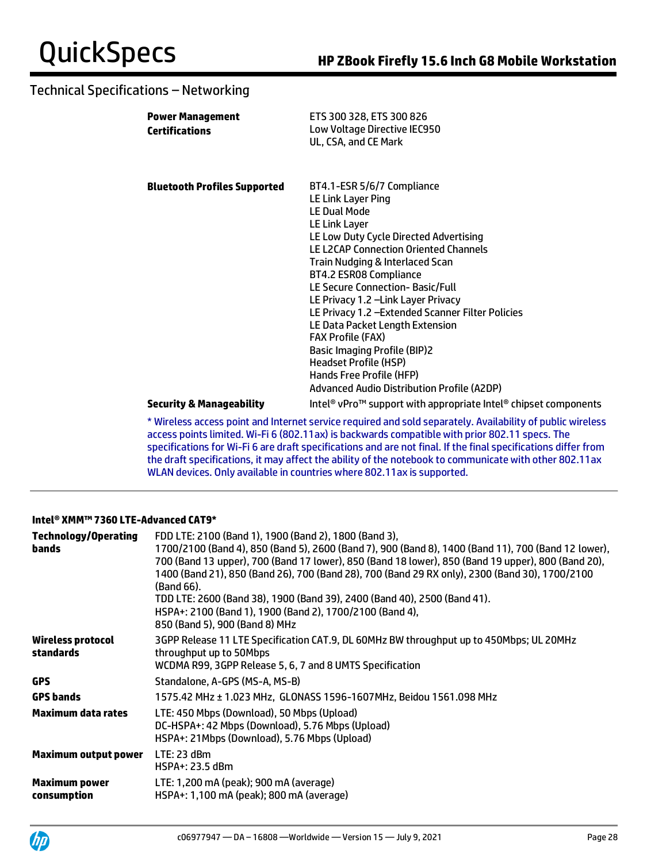| <b>Power Management</b><br><b>Certifications</b> | ETS 300 328, ETS 300 826<br>Low Voltage Directive IEC950<br>UL, CSA, and CE Mark                                                                                                                                                                                                                                                                                                                                                                                                                                                                                                               |
|--------------------------------------------------|------------------------------------------------------------------------------------------------------------------------------------------------------------------------------------------------------------------------------------------------------------------------------------------------------------------------------------------------------------------------------------------------------------------------------------------------------------------------------------------------------------------------------------------------------------------------------------------------|
| <b>Bluetooth Profiles Supported</b>              | BT4.1-ESR 5/6/7 Compliance<br>LE Link Layer Ping<br><b>LE Dual Mode</b><br>LE Link Layer<br>LE Low Duty Cycle Directed Advertising<br><b>LE L2CAP Connection Oriented Channels</b><br>Train Nudging & Interlaced Scan<br>BT4.2 ESR08 Compliance<br>LE Secure Connection-Basic/Full<br>LE Privacy 1.2 - Link Layer Privacy<br>LE Privacy 1.2 - Extended Scanner Filter Policies<br>LE Data Packet Length Extension<br><b>FAX Profile (FAX)</b><br><b>Basic Imaging Profile (BIP)2</b><br><b>Headset Profile (HSP)</b><br>Hands Free Profile (HFP)<br>Advanced Audio Distribution Profile (A2DP) |
| <b>Security &amp; Manageability</b>              | Intel <sup>®</sup> vPro <sup>™</sup> support with appropriate Intel® chipset components                                                                                                                                                                                                                                                                                                                                                                                                                                                                                                        |
|                                                  | 4. Iaith al ann ann an amhain an Iaith ann an ann an an tha dhand an Iaith an ann an Iaith an Iaith an Iaith an Iaith an Iaith an Iaith an Iaith an Iaith an Iaith an Iaith an Iaith an Iaith an Iaith an Iaith an Iaith an Ia                                                                                                                                                                                                                                                                                                                                                                 |

\* Wireless access point and Internet service required and sold separately. Availability of public wireless access points limited. Wi-Fi 6 (802.11ax) is backwards compatible with prior 802.11 specs. The specifications for Wi-Fi 6 are draft specifications and are not final. If the final specifications differ from the draft specifications, it may affect the ability of the notebook to communicate with other 802.11ax WLAN devices. Only available in countries where 802.11ax is supported.

### **Intel® XMM™ 7360 LTE-Advanced CAT9\***

| <b>Technology/Operating</b><br>bands | FDD LTE: 2100 (Band 1), 1900 (Band 2), 1800 (Band 3),<br>1700/2100 (Band 4), 850 (Band 5), 2600 (Band 7), 900 (Band 8), 1400 (Band 11), 700 (Band 12 lower),<br>700 (Band 13 upper), 700 (Band 17 lower), 850 (Band 18 lower), 850 (Band 19 upper), 800 (Band 20),<br>1400 (Band 21), 850 (Band 26), 700 (Band 28), 700 (Band 29 RX only), 2300 (Band 30), 1700/2100<br>(Band 66).<br>TDD LTE: 2600 (Band 38), 1900 (Band 39), 2400 (Band 40), 2500 (Band 41).<br>HSPA+: 2100 (Band 1), 1900 (Band 2), 1700/2100 (Band 4),<br>850 (Band 5), 900 (Band 8) MHz |
|--------------------------------------|--------------------------------------------------------------------------------------------------------------------------------------------------------------------------------------------------------------------------------------------------------------------------------------------------------------------------------------------------------------------------------------------------------------------------------------------------------------------------------------------------------------------------------------------------------------|
| Wireless protocol<br>standards       | 3GPP Release 11 LTE Specification CAT.9, DL 60MHz BW throughput up to 450Mbps; UL 20MHz<br>throughput up to 50Mbps<br>WCDMA R99, 3GPP Release 5, 6, 7 and 8 UMTS Specification                                                                                                                                                                                                                                                                                                                                                                               |
| <b>GPS</b>                           | Standalone. A-GPS (MS-A. MS-B)                                                                                                                                                                                                                                                                                                                                                                                                                                                                                                                               |
| <b>GPS bands</b>                     | 1575.42 MHz ± 1.023 MHz, GLONASS 1596-1607MHz, Beidou 1561.098 MHz                                                                                                                                                                                                                                                                                                                                                                                                                                                                                           |
| <b>Maximum data rates</b>            | LTE: 450 Mbps (Download), 50 Mbps (Upload)<br>DC-HSPA+: 42 Mbps (Download), 5.76 Mbps (Upload)<br>HSPA+: 21Mbps (Download), 5.76 Mbps (Upload)                                                                                                                                                                                                                                                                                                                                                                                                               |
| <b>Maximum output power</b>          | LTE: 23 dBm<br>HSPA+: 23.5 dBm                                                                                                                                                                                                                                                                                                                                                                                                                                                                                                                               |
| <b>Maximum power</b><br>consumption  | LTE: 1,200 mA (peak); 900 mA (average)<br>HSPA+: 1,100 mA (peak); 800 mA (average)                                                                                                                                                                                                                                                                                                                                                                                                                                                                           |

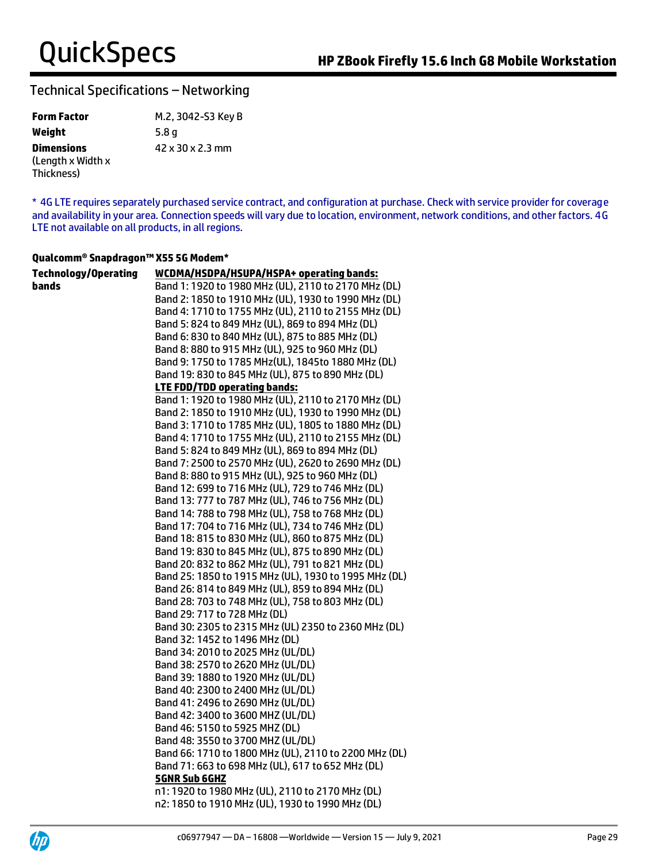| <b>Form Factor</b> | M.2, 3042-S3 Key B |
|--------------------|--------------------|
| Weight             | 5.8 <sub>q</sub>   |
| <b>Dimensions</b>  | 42 x 30 x 2.3 mm   |
| (Length x Width x  |                    |
| Thickness)         |                    |

\* 4G LTE requires separately purchased service contract, and configuration at purchase. Check with service provider for coverage and availability in your area. Connection speeds will vary due to location, environment, network conditions, and other factors. 4G LTE not available on all products, in all regions.

### **Qualcomm® Snapdragon™ X55 5G Modem\***

| <b>Technology/Operating</b> | WCDMA/HSDPA/HSUPA/HSPA+ operating bands:              |
|-----------------------------|-------------------------------------------------------|
| bands                       | Band 1: 1920 to 1980 MHz (UL), 2110 to 2170 MHz (DL)  |
|                             | Band 2: 1850 to 1910 MHz (UL), 1930 to 1990 MHz (DL)  |
|                             | Band 4: 1710 to 1755 MHz (UL), 2110 to 2155 MHz (DL)  |
|                             | Band 5: 824 to 849 MHz (UL), 869 to 894 MHz (DL)      |
|                             | Band 6: 830 to 840 MHz (UL), 875 to 885 MHz (DL)      |
|                             | Band 8: 880 to 915 MHz (UL), 925 to 960 MHz (DL)      |
|                             | Band 9: 1750 to 1785 MHz(UL), 1845to 1880 MHz (DL)    |
|                             | Band 19: 830 to 845 MHz (UL), 875 to 890 MHz (DL)     |
|                             | <b>LTE FDD/TDD operating bands:</b>                   |
|                             | Band 1: 1920 to 1980 MHz (UL), 2110 to 2170 MHz (DL)  |
|                             | Band 2: 1850 to 1910 MHz (UL), 1930 to 1990 MHz (DL)  |
|                             | Band 3: 1710 to 1785 MHz (UL), 1805 to 1880 MHz (DL)  |
|                             | Band 4: 1710 to 1755 MHz (UL), 2110 to 2155 MHz (DL)  |
|                             | Band 5: 824 to 849 MHz (UL), 869 to 894 MHz (DL)      |
|                             | Band 7: 2500 to 2570 MHz (UL), 2620 to 2690 MHz (DL)  |
|                             | Band 8: 880 to 915 MHz (UL), 925 to 960 MHz (DL)      |
|                             | Band 12: 699 to 716 MHz (UL), 729 to 746 MHz (DL)     |
|                             | Band 13: 777 to 787 MHz (UL), 746 to 756 MHz (DL)     |
|                             | Band 14: 788 to 798 MHz (UL), 758 to 768 MHz (DL)     |
|                             | Band 17: 704 to 716 MHz (UL), 734 to 746 MHz (DL)     |
|                             | Band 18: 815 to 830 MHz (UL), 860 to 875 MHz (DL)     |
|                             | Band 19: 830 to 845 MHz (UL), 875 to 890 MHz (DL)     |
|                             | Band 20: 832 to 862 MHz (UL), 791 to 821 MHz (DL)     |
|                             | Band 25: 1850 to 1915 MHz (UL), 1930 to 1995 MHz (DL) |
|                             | Band 26: 814 to 849 MHz (UL), 859 to 894 MHz (DL)     |
|                             | Band 28: 703 to 748 MHz (UL), 758 to 803 MHz (DL)     |
|                             | Band 29: 717 to 728 MHz (DL)                          |
|                             | Band 30: 2305 to 2315 MHz (UL) 2350 to 2360 MHz (DL)  |
|                             | Band 32: 1452 to 1496 MHz (DL)                        |
|                             | Band 34: 2010 to 2025 MHz (UL/DL)                     |
|                             | Band 38: 2570 to 2620 MHz (UL/DL)                     |
|                             | Band 39: 1880 to 1920 MHz (UL/DL)                     |
|                             | Band 40: 2300 to 2400 MHz (UL/DL)                     |
|                             | Band 41: 2496 to 2690 MHz (UL/DL)                     |
|                             | Band 42: 3400 to 3600 MHZ (UL/DL)                     |
|                             | Band 46: 5150 to 5925 MHZ (DL)                        |
|                             | Band 48: 3550 to 3700 MHZ (UL/DL)                     |
|                             | Band 66: 1710 to 1800 MHz (UL), 2110 to 2200 MHz (DL) |
|                             | Band 71: 663 to 698 MHz (UL), 617 to 652 MHz (DL)     |
|                             | <b>5GNR Sub 6GHZ</b>                                  |
|                             | n1:1920 to 1980 MHz (UL), 2110 to 2170 MHz (DL)       |
|                             | n2: 1850 to 1910 MHz (UL), 1930 to 1990 MHz (DL)      |

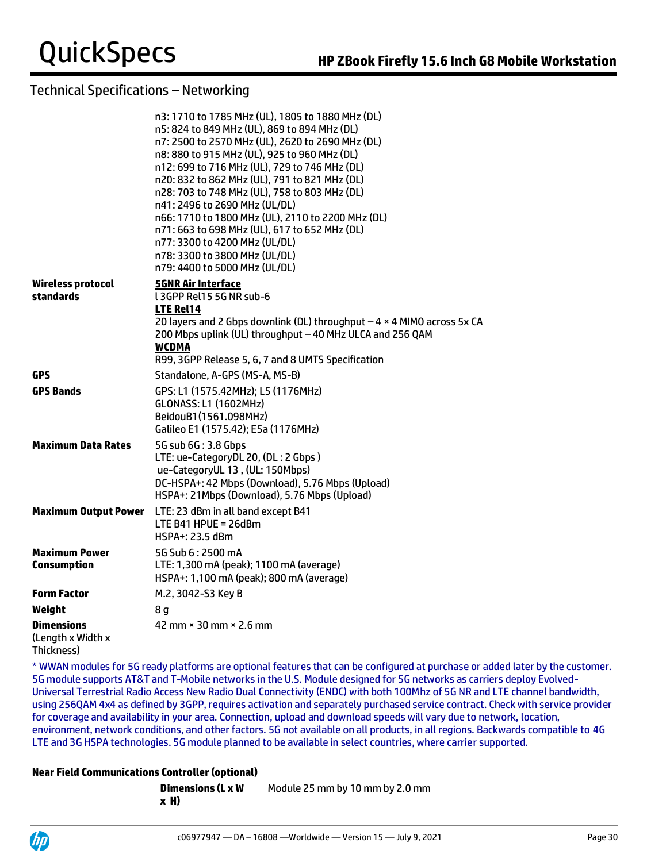|                                                      | n3: 1710 to 1785 MHz (UL), 1805 to 1880 MHz (DL)<br>n5: 824 to 849 MHz (UL), 869 to 894 MHz (DL)<br>n7: 2500 to 2570 MHz (UL), 2620 to 2690 MHz (DL)<br>n8: 880 to 915 MHz (UL), 925 to 960 MHz (DL)<br>n12: 699 to 716 MHz (UL), 729 to 746 MHz (DL)<br>n20: 832 to 862 MHz (UL), 791 to 821 MHz (DL)<br>n28: 703 to 748 MHz (UL), 758 to 803 MHz (DL)<br>n41: 2496 to 2690 MHz (UL/DL)<br>n66: 1710 to 1800 MHz (UL), 2110 to 2200 MHz (DL)<br>n71: 663 to 698 MHz (UL), 617 to 652 MHz (DL)<br>n77: 3300 to 4200 MHz (UL/DL)<br>n78: 3300 to 3800 MHz (UL/DL)<br>n79: 4400 to 5000 MHz (UL/DL) |
|------------------------------------------------------|---------------------------------------------------------------------------------------------------------------------------------------------------------------------------------------------------------------------------------------------------------------------------------------------------------------------------------------------------------------------------------------------------------------------------------------------------------------------------------------------------------------------------------------------------------------------------------------------------|
| <b>Wireless protocol</b><br>standards                | <b>5GNR Air Interface</b><br>L3GPP Rel15 5G NR sub-6<br>LTE Rel14<br>20 layers and 2 Gbps downlink (DL) throughput $-4 \times 4$ MIMO across 5x CA                                                                                                                                                                                                                                                                                                                                                                                                                                                |
|                                                      | 200 Mbps uplink (UL) throughput - 40 MHz ULCA and 256 QAM<br><b>WCDMA</b>                                                                                                                                                                                                                                                                                                                                                                                                                                                                                                                         |
|                                                      | R99, 3GPP Release 5, 6, 7 and 8 UMTS Specification                                                                                                                                                                                                                                                                                                                                                                                                                                                                                                                                                |
| GPS                                                  | Standalone, A-GPS (MS-A, MS-B)                                                                                                                                                                                                                                                                                                                                                                                                                                                                                                                                                                    |
| <b>GPS Bands</b>                                     | GPS: L1 (1575.42MHz); L5 (1176MHz)<br><b>GLONASS: L1 (1602MHz)</b><br>BeidouB1(1561.098MHz)<br>Galileo E1 (1575.42); E5a (1176MHz)                                                                                                                                                                                                                                                                                                                                                                                                                                                                |
| <b>Maximum Data Rates</b>                            | 5G sub 6G: 3.8 Gbps<br>LTE: ue-CategoryDL 20, (DL: 2 Gbps)<br>ue-CategoryUL 13, (UL: 150Mbps)<br>DC-HSPA+: 42 Mbps (Download), 5.76 Mbps (Upload)<br>HSPA+: 21Mbps (Download), 5.76 Mbps (Upload)                                                                                                                                                                                                                                                                                                                                                                                                 |
| <b>Maximum Output Power</b>                          | LTE: 23 dBm in all band except B41<br>LTE B41 HPUE = $26dBm$<br>HSPA+: 23.5 dBm                                                                                                                                                                                                                                                                                                                                                                                                                                                                                                                   |
| <b>Maximum Power</b><br><b>Consumption</b>           | 5G Sub 6:2500 mA<br>LTE: 1,300 mA (peak); 1100 mA (average)<br>HSPA+: 1,100 mA (peak); 800 mA (average)                                                                                                                                                                                                                                                                                                                                                                                                                                                                                           |
| <b>Form Factor</b>                                   | M.2, 3042-S3 Key B                                                                                                                                                                                                                                                                                                                                                                                                                                                                                                                                                                                |
| Weight                                               | 8 q                                                                                                                                                                                                                                                                                                                                                                                                                                                                                                                                                                                               |
| <b>Dimensions</b><br>(Length x Width x<br>Thickness) | 42 mm $\times$ 30 mm $\times$ 2.6 mm                                                                                                                                                                                                                                                                                                                                                                                                                                                                                                                                                              |

\* WWAN modules for 5G ready platforms are optional features that can be configured at purchase or added later by the customer. 5G module supports AT&T and T-Mobile networks in the U.S. Module designed for 5G networks as carriers deploy Evolved-Universal Terrestrial Radio Access New Radio Dual Connectivity (ENDC) with both 100Mhz of 5G NR and LTE channel bandwidth, using 256QAM 4x4 as defined by 3GPP, requires activation and separately purchased service contract. Check with service provider for coverage and availability in your area. Connection, upload and download speeds will vary due to network, location, environment, network conditions, and other factors. 5G not available on all products, in all regions. Backwards compatible to 4G LTE and 3G HSPA technologies. 5G module planned to be available in select countries, where carrier supported.

## **Near Field Communications Controller (optional)**

| Dimensions (L x W | Module 25 mm by 10 mm by 2.0 mm |
|-------------------|---------------------------------|
| x H)              |                                 |

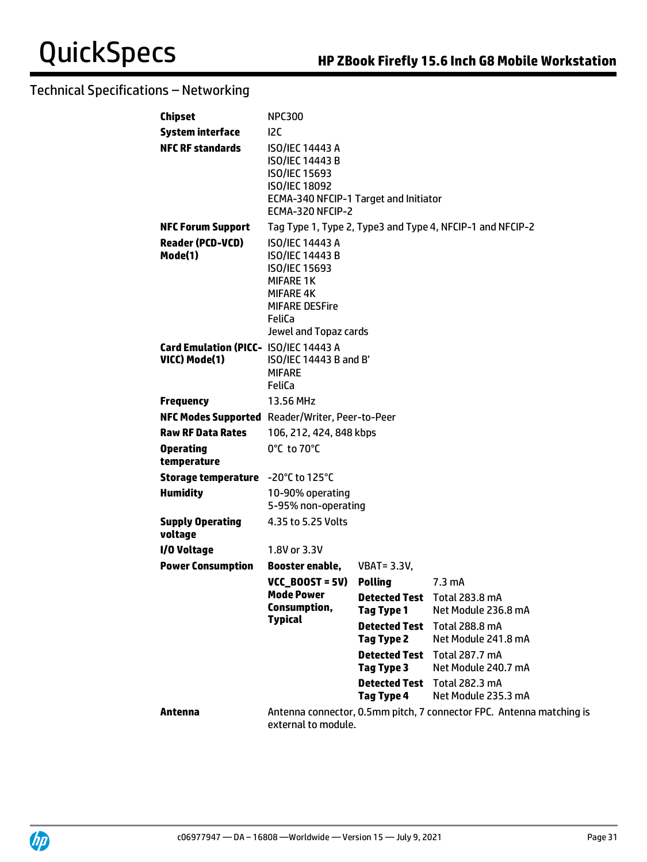| <b>Chipset</b>                                         | <b>NPC300</b>                                                                                                                                                                |                                    |                                                                      |
|--------------------------------------------------------|------------------------------------------------------------------------------------------------------------------------------------------------------------------------------|------------------------------------|----------------------------------------------------------------------|
| <b>System interface</b>                                | 12C                                                                                                                                                                          |                                    |                                                                      |
| <b>NFC RF standards</b>                                | <b>ISO/IEC 14443 A</b><br>ISO/IEC 14443 B<br>ISO/IEC 15693<br><b>ISO/IEC 18092</b><br>ECMA-340 NFCIP-1 Target and Initiator<br>ECMA-320 NFCIP-2                              |                                    |                                                                      |
| <b>NFC Forum Support</b>                               |                                                                                                                                                                              |                                    | Tag Type 1, Type 2, Type3 and Type 4, NFCIP-1 and NFCIP-2            |
| <b>Reader (PCD-VCD)</b><br>Mode(1)                     | <b>ISO/IEC 14443 A</b><br><b>ISO/IEC 14443 B</b><br><b>ISO/IEC 15693</b><br><b>MIFARE 1K</b><br><b>MIFARE 4K</b><br><b>MIFARE DESFire</b><br>FeliCa<br>Jewel and Topaz cards |                                    |                                                                      |
| Card Emulation (PICC- ISO/IEC 14443 A<br>VICC) Mode(1) | ISO/IEC 14443 B and B'<br><b>MIFARE</b><br>FeliCa                                                                                                                            |                                    |                                                                      |
| <b>Frequency</b>                                       | 13.56 MHz                                                                                                                                                                    |                                    |                                                                      |
| NFC Modes Supported Reader/Writer, Peer-to-Peer        |                                                                                                                                                                              |                                    |                                                                      |
| <b>Raw RF Data Rates</b>                               | 106, 212, 424, 848 kbps                                                                                                                                                      |                                    |                                                                      |
| <b>Operating</b><br>temperature                        | 0°C to 70°C                                                                                                                                                                  |                                    |                                                                      |
| <b>Storage temperature</b> -20°C to 125°C              |                                                                                                                                                                              |                                    |                                                                      |
| <b>Humidity</b>                                        | 10-90% operating<br>5-95% non-operating                                                                                                                                      |                                    |                                                                      |
| <b>Supply Operating</b><br>voltage                     | 4.35 to 5.25 Volts                                                                                                                                                           |                                    |                                                                      |
| I/O Voltage                                            | 1.8V or 3.3V                                                                                                                                                                 |                                    |                                                                      |
| <b>Power Consumption</b>                               | Booster enable,                                                                                                                                                              | <b>VBAT = 3.3V,</b>                |                                                                      |
|                                                        | $VCC$ BOOST = 5V)                                                                                                                                                            | <b>Polling</b>                     | $7.3 \text{ mA}$                                                     |
|                                                        | Mode Power                                                                                                                                                                   |                                    | Detected Test Total 283.8 mA                                         |
|                                                        | Consumption,<br><b>Typical</b>                                                                                                                                               | <b>Tag Type 1</b>                  | Net Module 236.8 mA                                                  |
|                                                        |                                                                                                                                                                              | <b>Detected Test</b><br>Tag Type 2 | <b>Total 288.8 mA</b><br>Net Module 241.8 mA                         |
|                                                        |                                                                                                                                                                              |                                    | <b>Detected Test</b> Total 287.7 mA                                  |
|                                                        |                                                                                                                                                                              | Tag Type 3                         | Net Module 240.7 mA                                                  |
|                                                        |                                                                                                                                                                              | Tag Type 4                         | <b>Detected Test</b> Total 282.3 mA<br>Net Module 235.3 mA           |
| Antenna                                                | external to module.                                                                                                                                                          |                                    | Antenna connector, 0.5mm pitch, 7 connector FPC. Antenna matching is |

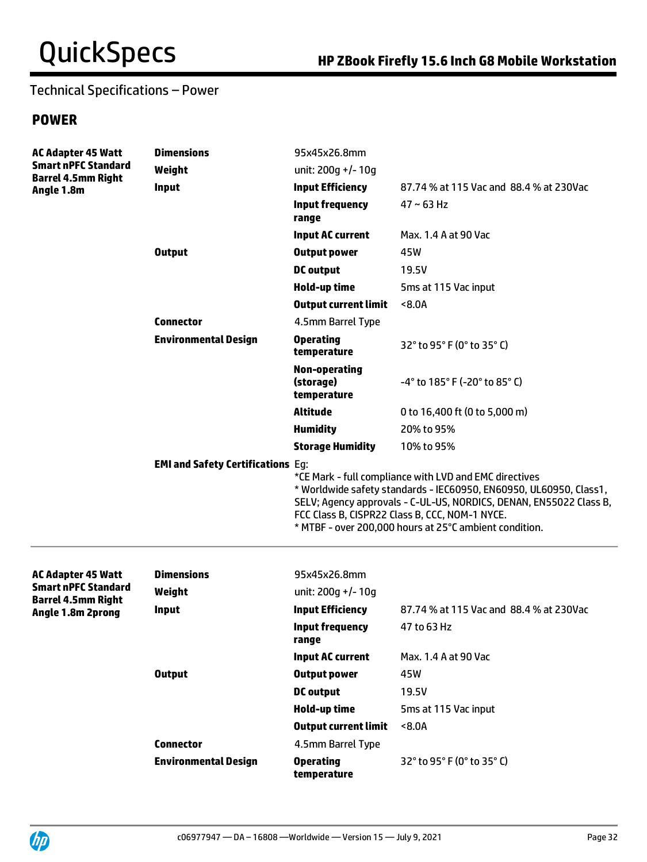# **POWER**

| <b>AC Adapter 45 Watt</b><br><b>Smart nPFC Standard</b><br><b>Barrel 4.5mm Right</b><br>Angle 1.8m | <b>Dimensions</b>                        | 95x45x26.8mm                                                                                                                                                                                                                                                                                                   |                                         |
|----------------------------------------------------------------------------------------------------|------------------------------------------|----------------------------------------------------------------------------------------------------------------------------------------------------------------------------------------------------------------------------------------------------------------------------------------------------------------|-----------------------------------------|
|                                                                                                    | Weight                                   | unit: 200g +/-10g                                                                                                                                                                                                                                                                                              |                                         |
|                                                                                                    | <b>Input</b>                             | <b>Input Efficiency</b>                                                                                                                                                                                                                                                                                        | 87.74 % at 115 Vac and 88.4 % at 230Vac |
|                                                                                                    |                                          | <b>Input frequency</b><br>range                                                                                                                                                                                                                                                                                | $47 \sim 63$ Hz                         |
|                                                                                                    |                                          | <b>Input AC current</b>                                                                                                                                                                                                                                                                                        | Max. 1.4 A at 90 Vac                    |
|                                                                                                    | <b>Output</b>                            | <b>Output power</b>                                                                                                                                                                                                                                                                                            | 45W                                     |
|                                                                                                    |                                          | <b>DC</b> output                                                                                                                                                                                                                                                                                               | 19.5V                                   |
|                                                                                                    |                                          | Hold-up time                                                                                                                                                                                                                                                                                                   | 5ms at 115 Vac input                    |
|                                                                                                    |                                          | <b>Output current limit</b>                                                                                                                                                                                                                                                                                    | < 8.0A                                  |
|                                                                                                    | <b>Connector</b>                         | 4.5mm Barrel Type                                                                                                                                                                                                                                                                                              |                                         |
|                                                                                                    | <b>Environmental Design</b>              | <b>Operating</b><br>temperature                                                                                                                                                                                                                                                                                | 32° to 95° F (0° to 35° C)              |
|                                                                                                    |                                          | <b>Non-operating</b><br>(storage)<br>temperature                                                                                                                                                                                                                                                               | -4° to 185° F (-20° to 85° C)           |
|                                                                                                    |                                          | <b>Altitude</b>                                                                                                                                                                                                                                                                                                | 0 to 16,400 ft (0 to 5,000 m)           |
|                                                                                                    |                                          | <b>Humidity</b>                                                                                                                                                                                                                                                                                                | 20% to 95%                              |
|                                                                                                    |                                          | <b>Storage Humidity</b>                                                                                                                                                                                                                                                                                        | 10% to 95%                              |
|                                                                                                    | <b>EMI and Safety Certifications Eg:</b> | *CE Mark - full compliance with LVD and EMC directives<br>* Worldwide safety standards - IEC60950, EN60950, UL60950, Class1,<br>SELV; Agency approvals - C-UL-US, NORDICS, DENAN, EN55022 Class B,<br>FCC Class B, CISPR22 Class B, CCC, NOM-1 NYCE.<br>* MTBF - over 200,000 hours at 25°C ambient condition. |                                         |
| <b>AC Adapter 45 Watt</b>                                                                          | <b>Dimensions</b>                        | 95x45x26.8mm                                                                                                                                                                                                                                                                                                   |                                         |
| <b>Smart nPFC Standard</b>                                                                         | Weight                                   | unit: $200g +/- 10g$                                                                                                                                                                                                                                                                                           |                                         |
| <b>Barrel 4.5mm Right</b><br>Angle 1.8m 2prong                                                     | <b>Input</b>                             | <b>Input Efficiency</b>                                                                                                                                                                                                                                                                                        | 87.74 % at 115 Vac and 88.4 % at 230Vac |
|                                                                                                    |                                          | <b>Input frequency</b><br>range                                                                                                                                                                                                                                                                                | 47 to 63 Hz                             |
|                                                                                                    |                                          | <b>Input AC current</b>                                                                                                                                                                                                                                                                                        | Max. 1.4 A at 90 Vac                    |
|                                                                                                    | <b>Output</b>                            | <b>Output power</b>                                                                                                                                                                                                                                                                                            | 45W                                     |
|                                                                                                    |                                          | <b>DC</b> output                                                                                                                                                                                                                                                                                               | 19.5V                                   |
|                                                                                                    |                                          |                                                                                                                                                                                                                                                                                                                |                                         |
|                                                                                                    |                                          | Hold-up time                                                                                                                                                                                                                                                                                                   | 5ms at 115 Vac input                    |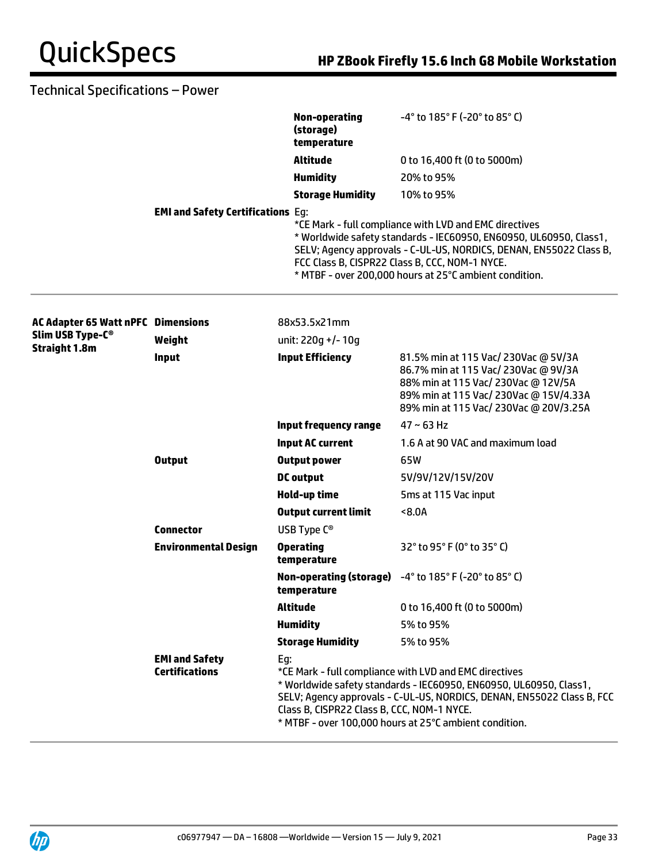|                                           |                                                | <b>Non-operating</b><br>(storage)<br>temperature                                                                                                                                                                                                                                                                      | -4° to 185° F (-20° to 85° C)                                                                                                                                                                                                                                                                                  |
|-------------------------------------------|------------------------------------------------|-----------------------------------------------------------------------------------------------------------------------------------------------------------------------------------------------------------------------------------------------------------------------------------------------------------------------|----------------------------------------------------------------------------------------------------------------------------------------------------------------------------------------------------------------------------------------------------------------------------------------------------------------|
|                                           |                                                | <b>Altitude</b>                                                                                                                                                                                                                                                                                                       | 0 to 16,400 ft (0 to 5000m)                                                                                                                                                                                                                                                                                    |
|                                           |                                                | <b>Humidity</b>                                                                                                                                                                                                                                                                                                       | 20% to 95%                                                                                                                                                                                                                                                                                                     |
|                                           |                                                | <b>Storage Humidity</b>                                                                                                                                                                                                                                                                                               | 10% to 95%                                                                                                                                                                                                                                                                                                     |
|                                           | <b>EMI and Safety Certifications Eg:</b>       |                                                                                                                                                                                                                                                                                                                       | *CE Mark - full compliance with LVD and EMC directives<br>* Worldwide safety standards - IEC60950, EN60950, UL60950, Class1,<br>SELV; Agency approvals - C-UL-US, NORDICS, DENAN, EN55022 Class B,<br>FCC Class B, CISPR22 Class B, CCC, NOM-1 NYCE.<br>* MTBF - over 200,000 hours at 25°C ambient condition. |
| <b>AC Adapter 65 Watt nPFC Dimensions</b> |                                                | 88x53.5x21mm                                                                                                                                                                                                                                                                                                          |                                                                                                                                                                                                                                                                                                                |
| Slim USB Type-C <sup>®</sup>              | Weight                                         | unit: 220g +/-10g                                                                                                                                                                                                                                                                                                     |                                                                                                                                                                                                                                                                                                                |
| <b>Straight 1.8m</b>                      | Input                                          | <b>Input Efficiency</b>                                                                                                                                                                                                                                                                                               | 81.5% min at 115 Vac/ 230Vac @ 5V/3A<br>86.7% min at 115 Vac/ 230Vac @ 9V/3A<br>88% min at 115 Vac/ 230Vac @ 12V/5A<br>89% min at 115 Vac/ 230Vac @ 15V/4.33A<br>89% min at 115 Vac/ 230Vac @ 20V/3.25A                                                                                                        |
|                                           |                                                | Input frequency range                                                                                                                                                                                                                                                                                                 | $47 - 63$ Hz                                                                                                                                                                                                                                                                                                   |
|                                           |                                                | <b>Input AC current</b>                                                                                                                                                                                                                                                                                               | 1.6 A at 90 VAC and maximum load                                                                                                                                                                                                                                                                               |
|                                           | <b>Output</b>                                  | <b>Output power</b>                                                                                                                                                                                                                                                                                                   | 65W                                                                                                                                                                                                                                                                                                            |
|                                           |                                                | <b>DC</b> output                                                                                                                                                                                                                                                                                                      | 5V/9V/12V/15V/20V                                                                                                                                                                                                                                                                                              |
|                                           |                                                | Hold-up time                                                                                                                                                                                                                                                                                                          | 5ms at 115 Vac input                                                                                                                                                                                                                                                                                           |
|                                           |                                                | <b>Output current limit</b>                                                                                                                                                                                                                                                                                           | 8.0A                                                                                                                                                                                                                                                                                                           |
|                                           | <b>Connector</b>                               | USB Type $C^{\circledcirc}$                                                                                                                                                                                                                                                                                           |                                                                                                                                                                                                                                                                                                                |
|                                           | <b>Environmental Design</b>                    | <b>Operating</b><br>temperature                                                                                                                                                                                                                                                                                       | 32° to 95° F (0° to 35° C)                                                                                                                                                                                                                                                                                     |
|                                           |                                                | temperature                                                                                                                                                                                                                                                                                                           | <b>Non-operating (storage)</b> $-4^{\circ}$ to $185^{\circ}$ F ( $-20^{\circ}$ to $85^{\circ}$ C)                                                                                                                                                                                                              |
|                                           |                                                | <b>Altitude</b>                                                                                                                                                                                                                                                                                                       | 0 to 16,400 ft (0 to 5000m)                                                                                                                                                                                                                                                                                    |
|                                           |                                                | <b>Humidity</b>                                                                                                                                                                                                                                                                                                       | 5% to 95%                                                                                                                                                                                                                                                                                                      |
|                                           |                                                | <b>Storage Humidity</b>                                                                                                                                                                                                                                                                                               | 5% to 95%                                                                                                                                                                                                                                                                                                      |
|                                           | <b>EMI and Safety</b><br><b>Certifications</b> | Eg:<br>*CE Mark - full compliance with LVD and EMC directives<br>* Worldwide safety standards - IEC60950, EN60950, UL60950, Class1,<br>SELV; Agency approvals - C-UL-US, NORDICS, DENAN, EN55022 Class B, FCC<br>Class B, CISPR22 Class B, CCC, NOM-1 NYCE.<br>* MTBF - over 100,000 hours at 25°C ambient condition. |                                                                                                                                                                                                                                                                                                                |

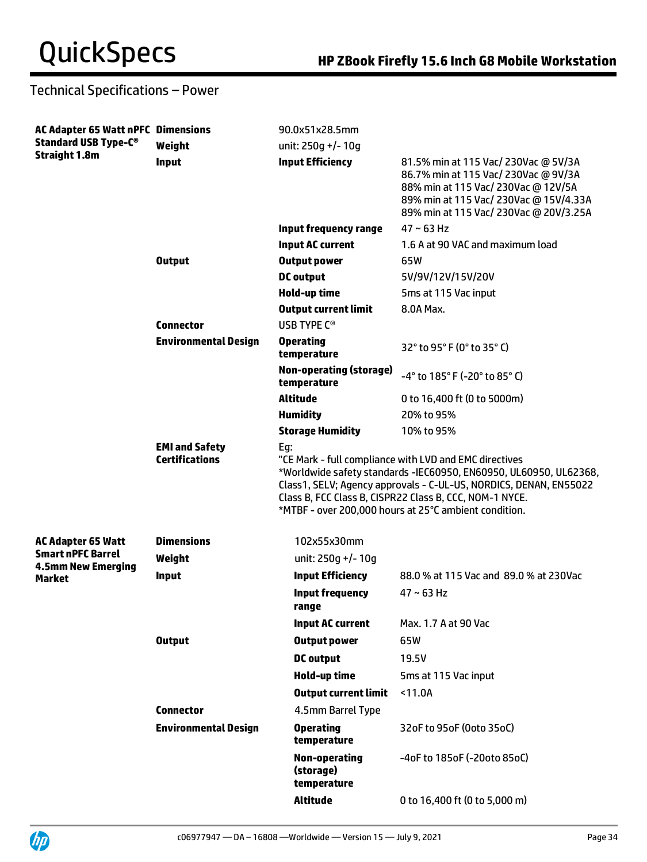| <b>AC Adapter 65 Watt nPFC Dimensions</b><br><b>Standard USB Type-C®</b><br><b>Straight 1.8m</b> |                                                | 90.0x51x28.5mm                                                                                                                                                                                                                                                                                                              |                                                                                                                                                                                                         |  |
|--------------------------------------------------------------------------------------------------|------------------------------------------------|-----------------------------------------------------------------------------------------------------------------------------------------------------------------------------------------------------------------------------------------------------------------------------------------------------------------------------|---------------------------------------------------------------------------------------------------------------------------------------------------------------------------------------------------------|--|
|                                                                                                  | Weight                                         | unit: $250g$ +/- 10g                                                                                                                                                                                                                                                                                                        |                                                                                                                                                                                                         |  |
|                                                                                                  | <b>Input</b>                                   | <b>Input Efficiency</b>                                                                                                                                                                                                                                                                                                     | 81.5% min at 115 Vac/ 230Vac @ 5V/3A<br>86.7% min at 115 Vac/ 230Vac @ 9V/3A<br>88% min at 115 Vac/ 230Vac @ 12V/5A<br>89% min at 115 Vac/ 230Vac @ 15V/4.33A<br>89% min at 115 Vac/ 230Vac @ 20V/3.25A |  |
|                                                                                                  |                                                | Input frequency range                                                                                                                                                                                                                                                                                                       | $47 - 63$ Hz                                                                                                                                                                                            |  |
|                                                                                                  |                                                | <b>Input AC current</b>                                                                                                                                                                                                                                                                                                     | 1.6 A at 90 VAC and maximum load                                                                                                                                                                        |  |
|                                                                                                  | <b>Output</b>                                  | <b>Output power</b>                                                                                                                                                                                                                                                                                                         | 65W                                                                                                                                                                                                     |  |
|                                                                                                  |                                                | <b>DC</b> output                                                                                                                                                                                                                                                                                                            | 5V/9V/12V/15V/20V                                                                                                                                                                                       |  |
|                                                                                                  |                                                | Hold-up time                                                                                                                                                                                                                                                                                                                | 5ms at 115 Vac input                                                                                                                                                                                    |  |
|                                                                                                  |                                                | <b>Output current limit</b>                                                                                                                                                                                                                                                                                                 | 8.0A Max.                                                                                                                                                                                               |  |
|                                                                                                  | <b>Connector</b>                               | USB TYPE C <sup>®</sup>                                                                                                                                                                                                                                                                                                     |                                                                                                                                                                                                         |  |
|                                                                                                  | <b>Environmental Design</b>                    | <b>Operating</b><br>temperature                                                                                                                                                                                                                                                                                             | 32° to 95° F (0° to 35° C)                                                                                                                                                                              |  |
|                                                                                                  |                                                | <b>Non-operating (storage)</b><br>temperature                                                                                                                                                                                                                                                                               | -4° to 185° F (-20° to 85° C)                                                                                                                                                                           |  |
|                                                                                                  |                                                | <b>Altitude</b>                                                                                                                                                                                                                                                                                                             | 0 to 16,400 ft (0 to 5000m)                                                                                                                                                                             |  |
|                                                                                                  |                                                | <b>Humidity</b>                                                                                                                                                                                                                                                                                                             | 20% to 95%                                                                                                                                                                                              |  |
|                                                                                                  |                                                | <b>Storage Humidity</b>                                                                                                                                                                                                                                                                                                     | 10% to 95%                                                                                                                                                                                              |  |
|                                                                                                  | <b>EMI and Safety</b><br><b>Certifications</b> | Eg:<br>"CE Mark - full compliance with LVD and EMC directives<br>*Worldwide safety standards -IEC60950, EN60950, UL60950, UL62368,<br>Class1, SELV; Agency approvals - C-UL-US, NORDICS, DENAN, EN55022<br>Class B, FCC Class B, CISPR22 Class B, CCC, NOM-1 NYCE.<br>*MTBF - over 200,000 hours at 25°C ambient condition. |                                                                                                                                                                                                         |  |
| <b>AC Adapter 65 Watt</b>                                                                        | <b>Dimensions</b>                              | 102x55x30mm                                                                                                                                                                                                                                                                                                                 |                                                                                                                                                                                                         |  |
| <b>Smart nPFC Barrel</b><br><b>4.5mm New Emerging</b>                                            | Weight                                         | unit: 250q +/-10q                                                                                                                                                                                                                                                                                                           |                                                                                                                                                                                                         |  |
| <b>Market</b>                                                                                    | Input                                          | <b>Input Efficiency</b>                                                                                                                                                                                                                                                                                                     | 88.0 % at 115 Vac and 89.0 % at 230Vac                                                                                                                                                                  |  |
|                                                                                                  |                                                | <b>Input frequency</b><br>range                                                                                                                                                                                                                                                                                             | $47 - 63$ Hz                                                                                                                                                                                            |  |
|                                                                                                  |                                                | <b>Input AC current</b>                                                                                                                                                                                                                                                                                                     | Max. 1.7 A at 90 Vac                                                                                                                                                                                    |  |
|                                                                                                  | <b>Output</b>                                  | <b>Output power</b>                                                                                                                                                                                                                                                                                                         | 65W                                                                                                                                                                                                     |  |
|                                                                                                  |                                                | <b>DC</b> output                                                                                                                                                                                                                                                                                                            | 19.5V                                                                                                                                                                                                   |  |
|                                                                                                  |                                                | <b>Hold-up time</b>                                                                                                                                                                                                                                                                                                         | 5ms at 115 Vac input                                                                                                                                                                                    |  |
|                                                                                                  |                                                | <b>Output current limit</b>                                                                                                                                                                                                                                                                                                 | < 11.0A                                                                                                                                                                                                 |  |
|                                                                                                  | <b>Connector</b>                               | 4.5mm Barrel Type                                                                                                                                                                                                                                                                                                           |                                                                                                                                                                                                         |  |
|                                                                                                  | <b>Environmental Design</b>                    | <b>Operating</b><br>temperature                                                                                                                                                                                                                                                                                             | 32oF to 95oF (0oto 35oC)                                                                                                                                                                                |  |
|                                                                                                  |                                                | <b>Non-operating</b><br>(storage)<br>temperature                                                                                                                                                                                                                                                                            | -4oF to 185oF (-20oto 85oC)                                                                                                                                                                             |  |
|                                                                                                  |                                                | <b>Altitude</b>                                                                                                                                                                                                                                                                                                             | 0 to 16,400 ft (0 to 5,000 m)                                                                                                                                                                           |  |

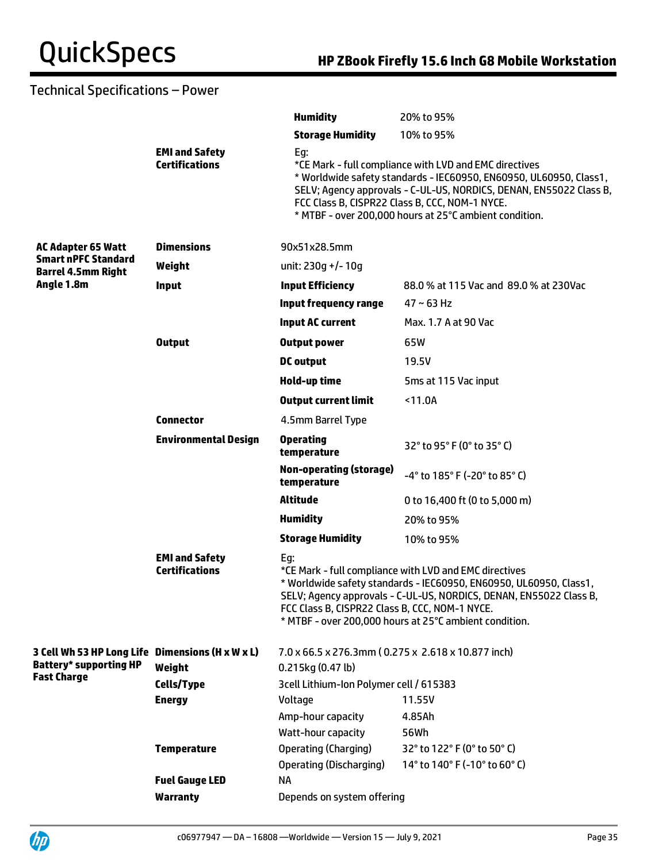|                                                         |                                                | <b>Humidity</b>                                       | 20% to 95%                                                                                                                                                                                                                                                                                                     |
|---------------------------------------------------------|------------------------------------------------|-------------------------------------------------------|----------------------------------------------------------------------------------------------------------------------------------------------------------------------------------------------------------------------------------------------------------------------------------------------------------------|
|                                                         |                                                | <b>Storage Humidity</b>                               | 10% to 95%                                                                                                                                                                                                                                                                                                     |
|                                                         | <b>EMI and Safety</b><br><b>Certifications</b> | Eg:                                                   | *CE Mark - full compliance with LVD and EMC directives<br>* Worldwide safety standards - IEC60950, EN60950, UL60950, Class1,<br>SELV; Agency approvals - C-UL-US, NORDICS, DENAN, EN55022 Class B,<br>FCC Class B, CISPR22 Class B, CCC, NOM-1 NYCE.<br>* MTBF - over 200,000 hours at 25°C ambient condition. |
| <b>AC Adapter 65 Watt</b>                               | <b>Dimensions</b>                              | 90x51x28.5mm                                          |                                                                                                                                                                                                                                                                                                                |
| <b>Smart nPFC Standard</b><br><b>Barrel 4.5mm Right</b> | Weight                                         | unit: 230q +/- 10q                                    |                                                                                                                                                                                                                                                                                                                |
| Angle 1.8m                                              | <b>Input</b>                                   | <b>Input Efficiency</b>                               | 88.0 % at 115 Vac and 89.0 % at 230Vac                                                                                                                                                                                                                                                                         |
|                                                         |                                                | <b>Input frequency range</b>                          | $47 \sim 63$ Hz                                                                                                                                                                                                                                                                                                |
|                                                         |                                                | <b>Input AC current</b>                               | Max. 1.7 A at 90 Vac                                                                                                                                                                                                                                                                                           |
|                                                         | <b>Output</b>                                  | <b>Output power</b>                                   | 65W                                                                                                                                                                                                                                                                                                            |
|                                                         |                                                | <b>DC</b> output                                      | 19.5V                                                                                                                                                                                                                                                                                                          |
|                                                         |                                                | Hold-up time                                          | 5ms at 115 Vac input                                                                                                                                                                                                                                                                                           |
|                                                         |                                                | <b>Output current limit</b>                           | < 11.0A                                                                                                                                                                                                                                                                                                        |
|                                                         | <b>Connector</b>                               | 4.5mm Barrel Type                                     |                                                                                                                                                                                                                                                                                                                |
|                                                         | <b>Environmental Design</b>                    | <b>Operating</b><br>temperature                       | 32° to 95° F (0° to 35° C)                                                                                                                                                                                                                                                                                     |
|                                                         |                                                | <b>Non-operating (storage)</b><br>temperature         | -4° to 185° F (-20° to 85° C)                                                                                                                                                                                                                                                                                  |
|                                                         |                                                | <b>Altitude</b>                                       | 0 to 16,400 ft (0 to 5,000 m)                                                                                                                                                                                                                                                                                  |
|                                                         |                                                | <b>Humidity</b>                                       | 20% to 95%                                                                                                                                                                                                                                                                                                     |
|                                                         |                                                | <b>Storage Humidity</b>                               | 10% to 95%                                                                                                                                                                                                                                                                                                     |
|                                                         | <b>EMI and Safety</b><br><b>Certifications</b> | Eg:<br>FCC Class B, CISPR22 Class B, CCC, NOM-1 NYCE. | *CE Mark - full compliance with LVD and EMC directives<br>* Worldwide safety standards - IEC60950, EN60950, UL60950, Class1,<br>SELV; Agency approvals - C-UL-US, NORDICS, DENAN, EN55022 Class B,<br>* MTBF - over 200,000 hours at 25°C ambient condition.                                                   |
| 3 Cell Wh 53 HP Long Life Dimensions (H x W x L)        |                                                | 7.0 x 66.5 x 276.3mm (0.275 x 2.618 x 10.877 inch)    |                                                                                                                                                                                                                                                                                                                |
| <b>Battery* supporting HP</b><br><b>Fast Charge</b>     | Weight                                         | 0.215kg (0.47 lb)                                     |                                                                                                                                                                                                                                                                                                                |
|                                                         | Cells/Type                                     | 3cell Lithium-Ion Polymer cell / 615383               |                                                                                                                                                                                                                                                                                                                |
|                                                         | <b>Energy</b>                                  | Voltage                                               | 11.55V                                                                                                                                                                                                                                                                                                         |
|                                                         |                                                | Amp-hour capacity<br>Watt-hour capacity               | 4.85Ah<br>56Wh                                                                                                                                                                                                                                                                                                 |
|                                                         | <b>Temperature</b>                             | <b>Operating (Charging)</b>                           | 32° to 122° F (0° to 50° C)                                                                                                                                                                                                                                                                                    |
|                                                         |                                                | <b>Operating (Discharging)</b>                        | 14° to 140° F (-10° to 60° C)                                                                                                                                                                                                                                                                                  |
|                                                         | <b>Fuel Gauge LED</b>                          | <b>NA</b>                                             |                                                                                                                                                                                                                                                                                                                |
|                                                         | <b>Warranty</b>                                | Depends on system offering                            |                                                                                                                                                                                                                                                                                                                |

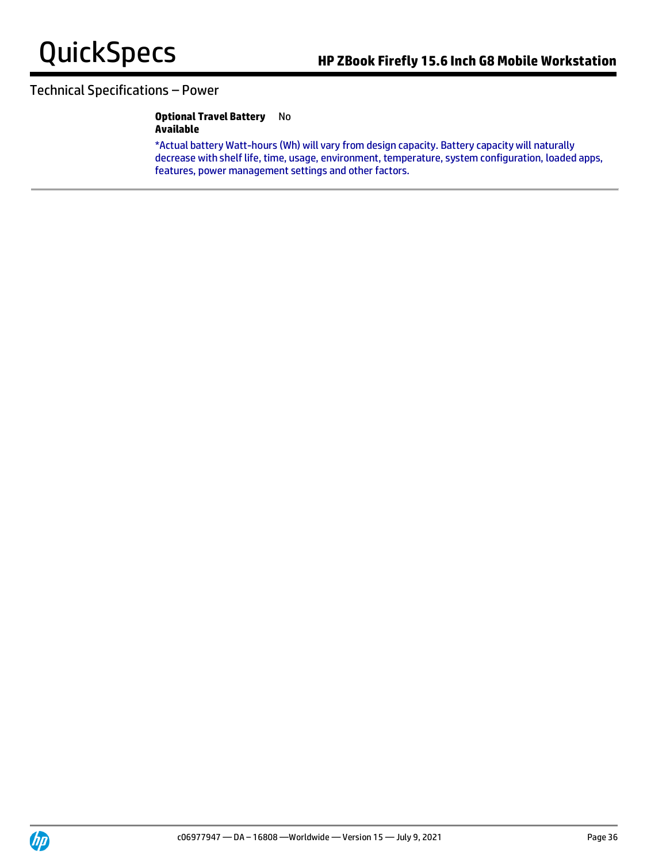### **Optional Travel Battery**  No **Available**

\*Actual battery Watt-hours (Wh) will vary from design capacity. Battery capacity will naturally decrease with shelf life, time, usage, environment, temperature, system configuration, loaded apps, features, power management settings and other factors.

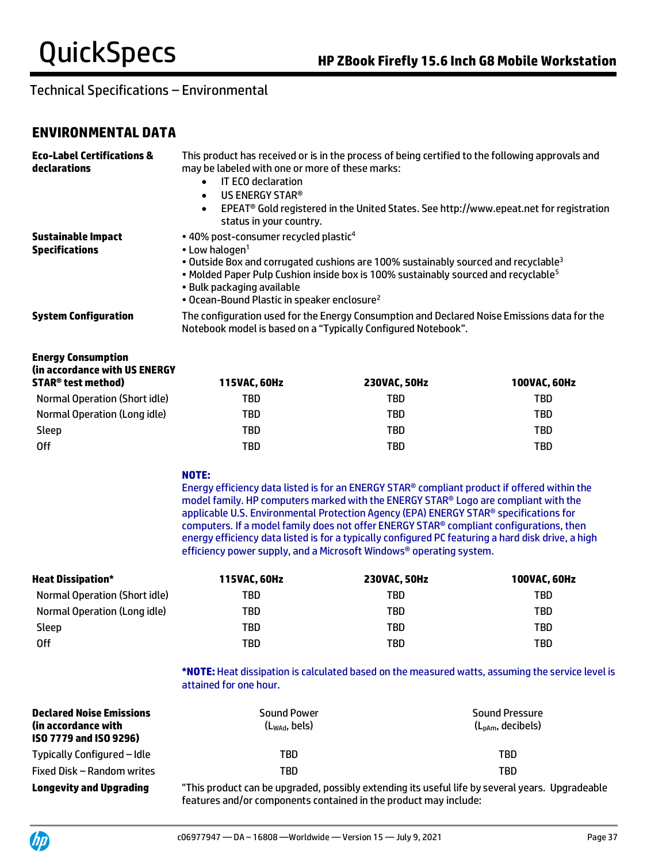# **ENVIRONMENTAL DATA**

| <b>Eco-Label Certifications &amp;</b><br>declarations | This product has received or is in the process of being certified to the following approvals and<br>may be labeled with one or more of these marks:<br><b>IT ECO declaration</b><br>$\bullet$<br>US ENERGY STAR®<br>$\bullet$<br>EPEAT® Gold registered in the United States. See http://www.epeat.net for registration<br>$\bullet$<br>status in your country.                    |
|-------------------------------------------------------|------------------------------------------------------------------------------------------------------------------------------------------------------------------------------------------------------------------------------------------------------------------------------------------------------------------------------------------------------------------------------------|
| <b>Sustainable Impact</b><br><b>Specifications</b>    | • 40% post-consumer recycled plastic <sup>4</sup><br>$\cdot$ Low halogen <sup>1</sup><br>• Outside Box and corrugated cushions are 100% sustainably sourced and recyclable <sup>3</sup><br>. Molded Paper Pulp Cushion inside box is 100% sustainably sourced and recyclable <sup>5</sup><br>• Bulk packaging available<br>• Ocean-Bound Plastic in speaker enclosure <sup>2</sup> |
| <b>System Configuration</b>                           | The configuration used for the Energy Consumption and Declared Noise Emissions data for the<br>Notebook model is based on a "Typically Configured Notebook".                                                                                                                                                                                                                       |

| <b>Energy Consumption</b><br>(in accordance with US ENERGY<br><b>STAR<sup>®</sup> test method)</b> | 115VAC, 60Hz | <b>230VAC. 50Hz</b> | 100VAC, 60Hz |
|----------------------------------------------------------------------------------------------------|--------------|---------------------|--------------|
| Normal Operation (Short idle)                                                                      | TBD          | TBD                 | TBD          |
| Normal Operation (Long idle)                                                                       | TBD          | TBD                 | TBD          |
| Sleep                                                                                              | TBD          | TBD                 | TBD          |
| 0ff                                                                                                | TBD          | TBD                 | TBD          |

### **NOTE:**

Energy efficiency data listed is for an ENERGY STAR® compliant product if offered within the model family. HP computers marked with the ENERGY STAR® Logo are compliant with the applicable U.S. Environmental Protection Agency (EPA) ENERGY STAR® specifications for computers. If a model family does not offer ENERGY STAR® compliant configurations, then energy efficiency data listed is for a typically configured PC featuring a hard disk drive, a high efficiency power supply, and a Microsoft Windows® operating system.

| <b>Heat Dissipation*</b>      | 115VAC, 60Hz | 230VAC, 50Hz | <b>100VAC. 60Hz</b> |
|-------------------------------|--------------|--------------|---------------------|
| Normal Operation (Short idle) | TBD          | TBD          | TBD                 |
| Normal Operation (Long idle)  | TBD          | TBD          | TBD                 |
| Sleep                         | TBD          | TBD          | TBD                 |
| 0ff                           | TBD          | TBD          | TBD                 |

**\*NOTE:** Heat dissipation is calculated based on the measured watts, assuming the service level is attained for one hour.

| <b>Declared Noise Emissions</b><br>(in accordance with)<br>ISO 7779 and ISO 9296) | <b>Sound Power</b><br>$(L_{\text{wad}}, \text{bels})$ | <b>Sound Pressure</b><br>$(L_{\text{pAm}}, \text{decibels})$ |
|-----------------------------------------------------------------------------------|-------------------------------------------------------|--------------------------------------------------------------|
| Typically Configured – Idle                                                       | TBD                                                   | TBD                                                          |
| Fixed Disk – Random writes                                                        | TBD                                                   | TBD.                                                         |

**Longevity and Upgrading** "This product can be upgraded, possibly extending its useful life by several years. Upgradeable features and/or components contained in the product may include: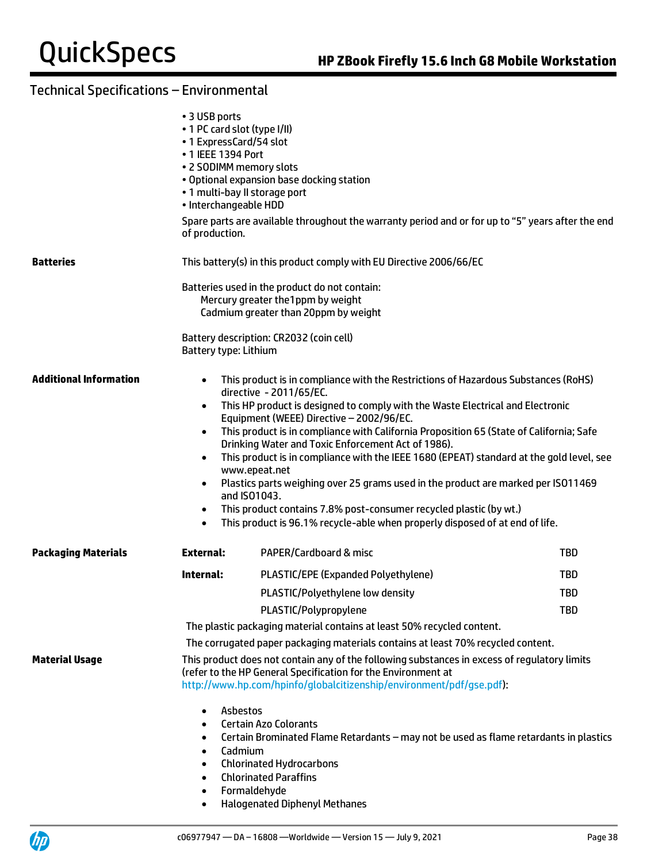|                               | • 3 USB ports<br>• 1 PC card slot (type I/II)<br>• 1 ExpressCard/54 slot<br>• 1 IEEE 1394 Port<br>• 2 SODIMM memory slots<br>. 1 multi-bay II storage port<br>· Interchangeable HDD<br>of production.                                                                                                                                                                                                                                                                                                                                                                                                                                                                                                                                                                                                                                                           | . Optional expansion base docking station<br>Spare parts are available throughout the warranty period and or for up to "5" years after the end                                                                                                   |            |  |  |
|-------------------------------|-----------------------------------------------------------------------------------------------------------------------------------------------------------------------------------------------------------------------------------------------------------------------------------------------------------------------------------------------------------------------------------------------------------------------------------------------------------------------------------------------------------------------------------------------------------------------------------------------------------------------------------------------------------------------------------------------------------------------------------------------------------------------------------------------------------------------------------------------------------------|--------------------------------------------------------------------------------------------------------------------------------------------------------------------------------------------------------------------------------------------------|------------|--|--|
| <b>Batteries</b>              |                                                                                                                                                                                                                                                                                                                                                                                                                                                                                                                                                                                                                                                                                                                                                                                                                                                                 | This battery(s) in this product comply with EU Directive 2006/66/EC                                                                                                                                                                              |            |  |  |
|                               |                                                                                                                                                                                                                                                                                                                                                                                                                                                                                                                                                                                                                                                                                                                                                                                                                                                                 | Batteries used in the product do not contain:<br>Mercury greater the 1 ppm by weight<br>Cadmium greater than 20ppm by weight                                                                                                                     |            |  |  |
|                               | Battery type: Lithium                                                                                                                                                                                                                                                                                                                                                                                                                                                                                                                                                                                                                                                                                                                                                                                                                                           | Battery description: CR2032 (coin cell)                                                                                                                                                                                                          |            |  |  |
| <b>Additional Information</b> | This product is in compliance with the Restrictions of Hazardous Substances (RoHS)<br>$\bullet$<br>directive - 2011/65/EC.<br>This HP product is designed to comply with the Waste Electrical and Electronic<br>$\bullet$<br>Equipment (WEEE) Directive - 2002/96/EC.<br>This product is in compliance with California Proposition 65 (State of California; Safe<br>$\bullet$<br>Drinking Water and Toxic Enforcement Act of 1986).<br>This product is in compliance with the IEEE 1680 (EPEAT) standard at the gold level, see<br>$\bullet$<br>www.epeat.net<br>Plastics parts weighing over 25 grams used in the product are marked per ISO11469<br>$\bullet$<br>and ISO1043.<br>This product contains 7.8% post-consumer recycled plastic (by wt.)<br>$\bullet$<br>This product is 96.1% recycle-able when properly disposed of at end of life.<br>$\bullet$ |                                                                                                                                                                                                                                                  |            |  |  |
| <b>Packaging Materials</b>    | <b>External:</b>                                                                                                                                                                                                                                                                                                                                                                                                                                                                                                                                                                                                                                                                                                                                                                                                                                                | PAPER/Cardboard & misc                                                                                                                                                                                                                           | <b>TBD</b> |  |  |
|                               | Internal:                                                                                                                                                                                                                                                                                                                                                                                                                                                                                                                                                                                                                                                                                                                                                                                                                                                       | PLASTIC/EPE (Expanded Polyethylene)                                                                                                                                                                                                              | TBD        |  |  |
|                               |                                                                                                                                                                                                                                                                                                                                                                                                                                                                                                                                                                                                                                                                                                                                                                                                                                                                 | PLASTIC/Polyethylene low density                                                                                                                                                                                                                 | TBD        |  |  |
|                               |                                                                                                                                                                                                                                                                                                                                                                                                                                                                                                                                                                                                                                                                                                                                                                                                                                                                 | PLASTIC/Polypropylene                                                                                                                                                                                                                            | <b>TBD</b> |  |  |
|                               | The plastic packaging material contains at least 50% recycled content.                                                                                                                                                                                                                                                                                                                                                                                                                                                                                                                                                                                                                                                                                                                                                                                          |                                                                                                                                                                                                                                                  |            |  |  |
|                               |                                                                                                                                                                                                                                                                                                                                                                                                                                                                                                                                                                                                                                                                                                                                                                                                                                                                 | The corrugated paper packaging materials contains at least 70% recycled content.                                                                                                                                                                 |            |  |  |
| <b>Material Usage</b>         |                                                                                                                                                                                                                                                                                                                                                                                                                                                                                                                                                                                                                                                                                                                                                                                                                                                                 | This product does not contain any of the following substances in excess of regulatory limits<br>(refer to the HP General Specification for the Environment at<br>http://www.hp.com/hpinfo/globalcitizenship/environment/pdf/gse.pdf):            |            |  |  |
|                               | Asbestos<br>٠<br>٠<br>٠<br>Cadmium<br>$\bullet$<br>$\bullet$<br>$\bullet$<br>$\bullet$<br>$\bullet$                                                                                                                                                                                                                                                                                                                                                                                                                                                                                                                                                                                                                                                                                                                                                             | <b>Certain Azo Colorants</b><br>Certain Brominated Flame Retardants - may not be used as flame retardants in plastics<br><b>Chlorinated Hydrocarbons</b><br><b>Chlorinated Paraffins</b><br>Formaldehyde<br><b>Halogenated Diphenyl Methanes</b> |            |  |  |

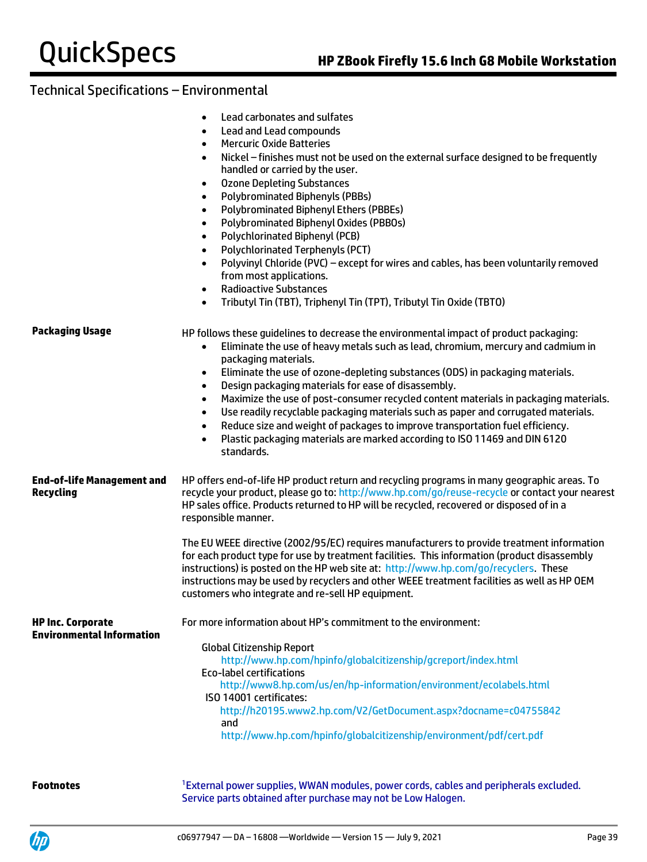| Lead carbonates and sulfates |  |
|------------------------------|--|
|------------------------------|--|

- Lead and Lead compounds
- Mercuric Oxide Batteries
- Nickel finishes must not be used on the external surface designed to be frequently handled or carried by the user.
- Ozone Depleting Substances
- Polybrominated Biphenyls (PBBs)
- Polybrominated Biphenyl Ethers (PBBEs)
- Polybrominated Biphenyl Oxides (PBBOs)
- Polychlorinated Biphenyl (PCB)
- Polychlorinated Terphenyls (PCT)
- Polyvinyl Chloride (PVC) except for wires and cables, has been voluntarily removed from most applications.
- Radioactive Substances
- Tributyl Tin (TBT), Triphenyl Tin (TPT), Tributyl Tin Oxide (TBTO)

| Packaging Usage                                              | HP follows these guidelines to decrease the environmental impact of product packaging:<br>Eliminate the use of heavy metals such as lead, chromium, mercury and cadmium in<br>packaging materials.<br>Eliminate the use of ozone-depleting substances (ODS) in packaging materials.<br>$\bullet$<br>Design packaging materials for ease of disassembly.<br>$\bullet$<br>Maximize the use of post-consumer recycled content materials in packaging materials.<br>$\bullet$<br>Use readily recyclable packaging materials such as paper and corrugated materials.<br>$\bullet$<br>Reduce size and weight of packages to improve transportation fuel efficiency.<br>$\bullet$<br>Plastic packaging materials are marked according to ISO 11469 and DIN 6120<br>standards. |  |  |
|--------------------------------------------------------------|------------------------------------------------------------------------------------------------------------------------------------------------------------------------------------------------------------------------------------------------------------------------------------------------------------------------------------------------------------------------------------------------------------------------------------------------------------------------------------------------------------------------------------------------------------------------------------------------------------------------------------------------------------------------------------------------------------------------------------------------------------------------|--|--|
| <b>End-of-life Management and</b><br>Recycling               | HP offers end-of-life HP product return and recycling programs in many geographic areas. To<br>recycle your product, please go to: http://www.hp.com/go/reuse-recycle or contact your nearest<br>HP sales office. Products returned to HP will be recycled, recovered or disposed of in a<br>responsible manner.                                                                                                                                                                                                                                                                                                                                                                                                                                                       |  |  |
|                                                              | The EU WEEE directive (2002/95/EC) requires manufacturers to provide treatment information<br>for each product type for use by treatment facilities. This information (product disassembly<br>instructions) is posted on the HP web site at: http://www.hp.com/go/recyclers. These<br>instructions may be used by recyclers and other WEEE treatment facilities as well as HP OEM<br>customers who integrate and re-sell HP equipment.                                                                                                                                                                                                                                                                                                                                 |  |  |
| <b>HP Inc. Corporate</b><br><b>Environmental Information</b> | For more information about HP's commitment to the environment:<br><b>Global Citizenship Report</b><br>http://www.hp.com/hpinfo/globalcitizenship/gcreport/index.html<br><b>Eco-label certifications</b><br>http://www8.hp.com/us/en/hp-information/environment/ecolabels.html<br>ISO 14001 certificates:<br>http://h20195.www2.hp.com/V2/GetDocument.aspx?docname=c04755842<br>and<br>http://www.hp.com/hpinfo/globalcitizenship/environment/pdf/cert.pdf                                                                                                                                                                                                                                                                                                              |  |  |
| <b>Footnotes</b>                                             | <sup>1</sup> External power supplies, WWAN modules, power cords, cables and peripherals excluded.                                                                                                                                                                                                                                                                                                                                                                                                                                                                                                                                                                                                                                                                      |  |  |



Service parts obtained after purchase may not be Low Halogen.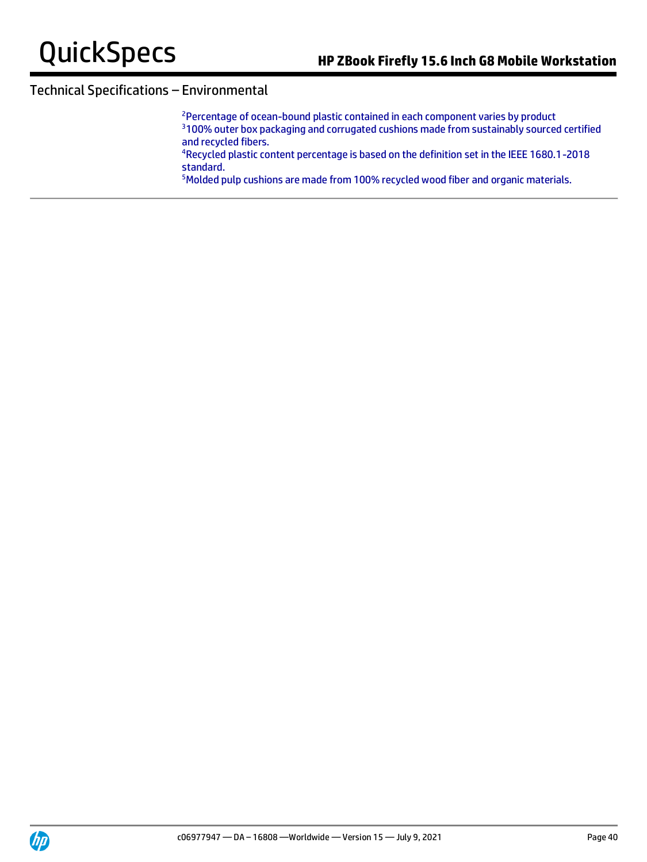<sup>2</sup>Percentage of ocean-bound plastic contained in each component varies by product <sup>3</sup>100% outer box packaging and corrugated cushions made from sustainably sourced certified and recycled fibers.

<sup>4</sup>Recycled plastic content percentage is based on the definition set in the IEEE 1680.1-2018 standard.

5Molded pulp cushions are made from 100% recycled wood fiber and organic materials.